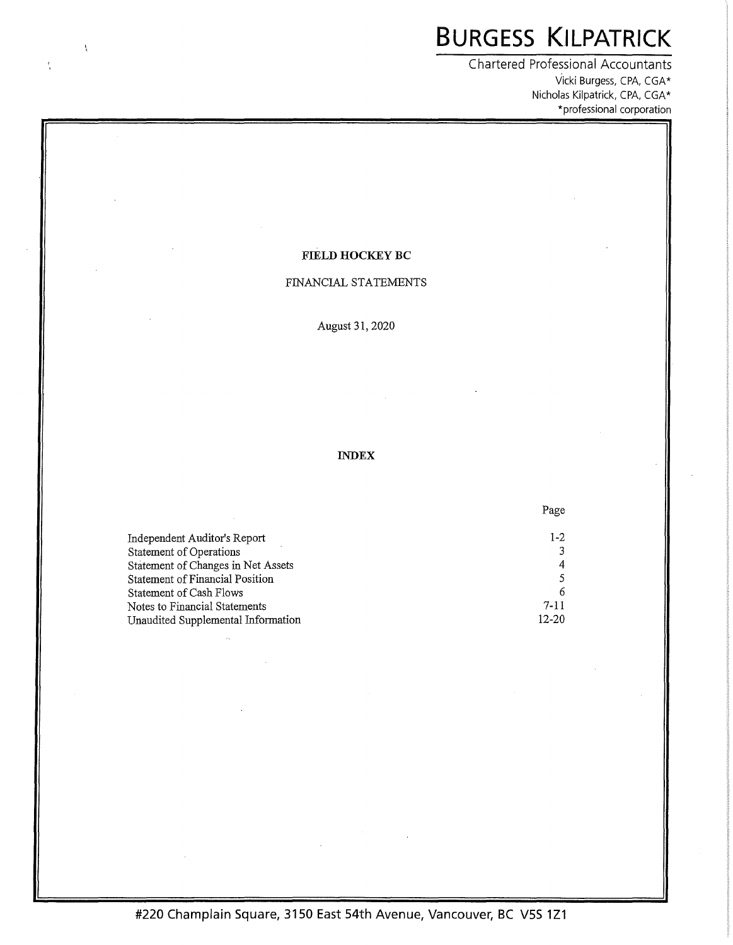# **BURGESS KILPATRICK**

Chartered Professional Accountants Vicki Burgess, CPA, CGA\* Nicholas Kilpatrick, CPA, CGA\* \*professional corporation

# **FIELD HOCKEY BC**

 $\frac{1}{\hbar}$ 

 $\frac{1}{2}$ 

#### FINANCIAL STATEMENTS

# August 31, 2020

# **INDEX**

|                                        | Page      |
|----------------------------------------|-----------|
| Independent Auditor's Report           | $1 - 2$   |
| Statement of Operations                |           |
| Statement of Changes in Net Assets     | 4         |
| <b>Statement of Financial Position</b> |           |
| <b>Statement of Cash Flows</b>         | 6         |
| Notes to Financial Statements          | $7 - 11$  |
| Unaudited Supplemental Information     | $12 - 20$ |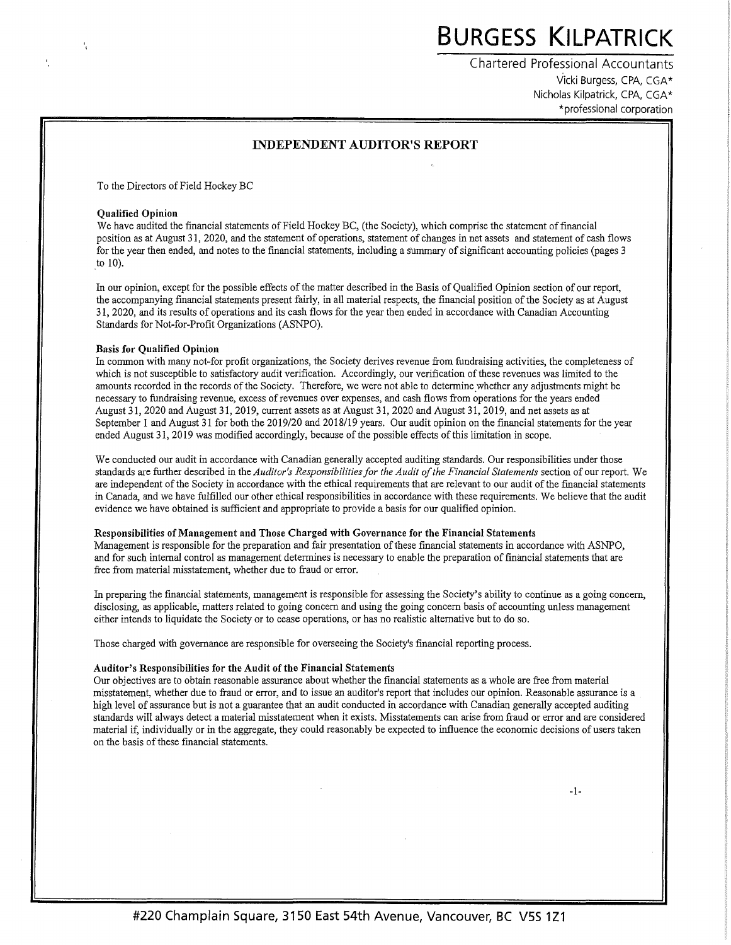# **BURGESS KILPATRICK**

Chartered Professional Accountants Vicki Burgess, CPA, CGA\* Nicholas Kilpatrick, CPA, CGA \* \*professional corporation

#### INDEPENDENT AUDITOR'S REPORT

To the Directors of Field Hockey BC

#### Qualified Opinion

We have audited the financial statements of Field Hockey BC, (the Society), which comprise the statement of financial position as at August 31, 2020, and the statement of operations, statement of changes in net assets and statement of cash flows for the year then ended, and notes to the financial statements, including a summary of significant accounting policies (pages 3 to 10).

In our opinion, except for the possible effects of the matter described in the Basis of Qualified Opinion section of our report, the accompanying financial statements present fairly, in all material respects, the financial position of the Society as at August 31, 2020, and its results of operations and its cash flows for the year then ended in accordance with Canadian Accounting Standards for Not-for-Profit Organizations (ASNPO).

#### Basis for Qualified Opinion

In common with many not-for profit organizations, the Society derives revenue from fundraising activities, the completeness of which is not susceptible to satisfactory audit verification. Accordingly, our verification of these revenues was limited to the amounts recorded in the records of the Society. Therefore, we were not able to determine whether any adjustments might be necessary to fundraising revenue, excess of revenues over expenses, and cash flows from operations for the years ended August 31,2020 and August 31,2019, current assets as at August 31, 2020 and August 31,2019, and net assets as at September 1 and August 31 for both the 2019/20 and 2018/19 years. Our audit opinion on the financial statements for the year ended August 31, 2019 was modified accordingly, because of the possible effects of this limitation in scope.

We conducted our audit in accordance with Canadian generally accepted auditing standards. Our responsibilities under those standards are further described in the *Auditor's Responsibilities for the Audit of the Financial Statements* section of our report. We are independent of the Society in accordance with the ethical requirements that are relevant to our audit of the fmancial statements in Canada, and we have fulfilled our other ethical responsibilities in accordance with these requirements. We believe that the audit evidence we have obtained is sufficient and appropriate to provide a basis for our qualified opinion.

#### Responsibilities of Management and Those Charged with Governance for the Financial Statements

Management is responsible for the preparation and fair presentation of these financial statements in accordance with ASNPO, and for such internal control as management determines is necessary to enable the preparation of financial statements that are free from material misstatement, whether due to fraud or error.

In preparing the financial statements, management is responsible for assessing the Society's ability to continue as a going concern, disclosing, as applicable, matters related to going concern and using the going concern basis of accounting unless management either intends to liquidate the Society or to cease operations, or has no realistic alternative but to do so.

Those charged with governance are responsible for overseeing the Society's financial reporting process.

#### Auditor's Responsibilities for the Audit of the Financial Statements

Our objectives are to obtain reasonable assurance about whether the fmancial statements as a whole are free from material misstatement, whether due to fraud or error, and to issue an auditor's report that includes our opinion. Reasonable assurance is a high level of assurance but is not a guarantee that an audit conducted in accordance with Canadian generally accepted auditing standards will always detect a material misstatement when it exists. Misstatements can arise from fraud or error and are considered material if, individually or in the aggregate, they could reasonably be expected to influence the economic decisions of users taken on the basis of these financial statements.

-1-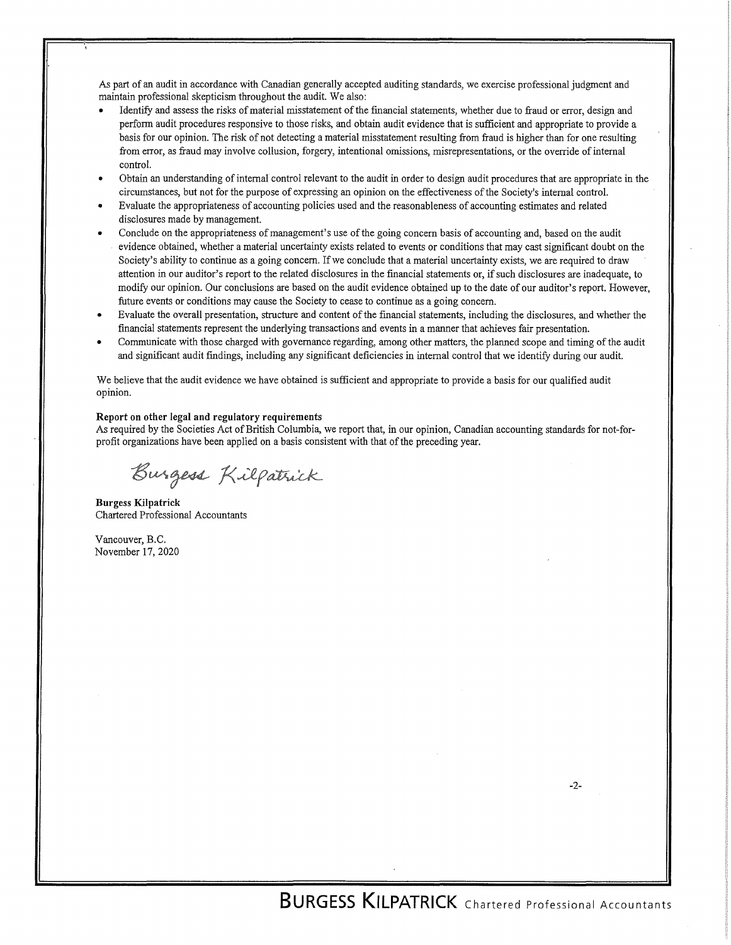As part of an audit in accordance with Canadian generally accepted auditing standards, we exercise professional judgment and maintain professional skepticism throughout the audit. We also:

- IdentifY and assess the risks of material misstatement of the financial statements, whether due to fraud or error, design and perform audit procedures responsive to those risks, and obtain audit evidence that is sufficient and appropriate to provide a basis for our opinion. The risk of not detecting a material misstatement resulting from fraud is higher than for one resulting from error, as fraud may involve collusion, forgery, intentional omissions, misrepresentations, or the override of internal control.
- Obtain an understanding of internal control relevant to the audit in order to design audit procedures that are appropriate in the circumstances, but not for the purpose of expressing an opinion on the effectiveness of the Society's internal control.
- Evaluate the appropriateness of accounting policies used and the reasonableness of accounting estimates and related disclosures made by management.
- Conclude on the appropriateness of management's use of the going concern basis of accounting and, based on the audit evidence obtained, whether a material uncertainty exists related to events or conditions that may cast significant doubt on the Society's ability to continue as a going concern. If we conclude that a material uncertainty exists, we are required to draw attention in our auditor's report to the related disclosures in the fmancial statements or, if such disclosures are inadequate, to modifY our opinion. Our conclusions are based on the audit evidence obtained up to the date of our auditor's report. However, future events or conditions may cause the Society to cease to continue as a going concern.
- Evaluate the overall presentation, structure and content of the fmancial statements, including the disclosures, and whether the financial statements represent the underlying transactions and events in a marmer that achieves fair presentation.
- Communicate with those charged with governance regarding, among other matters, the plarmed scope and timing of the audit and significant audit findings, including any significant deficiencies in internal control that we identify during our audit.

We believe that the audit evidence we have obtained is sufficient and appropriate to provide a basis for our qualified audit opinion.

#### **Report on other legal and regulatory requirements**

As required by the Societies Act of British Columbia, we report that, in our opinion, Canadian accounting standards for not-forprofit organizations have been applied on a basis consistent with that of the preceding year.

Burgess Kilpatrick

Burgess **Kilpatrick**  Chartered Professional Accountants

Vancouver, B.C. November 17, 2020

-2-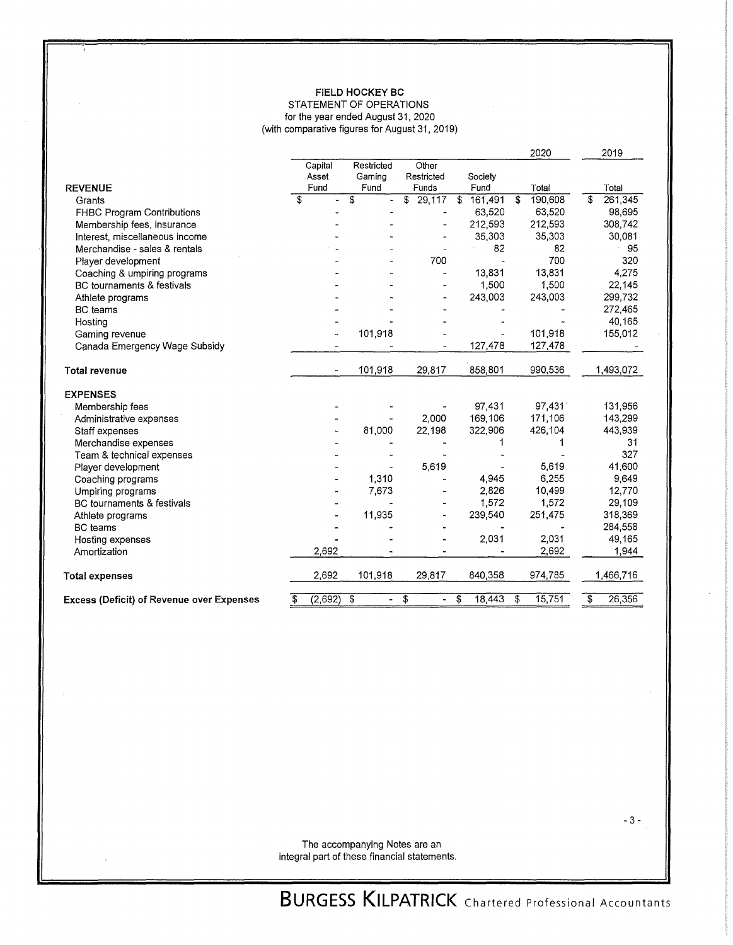#### FIELD HOCKEY BC

#### STATEMENT OF OPERATIONS for the year ended August 31, 2020 (with comparative figures for August 31, 2019)

|                                                  |               |                      |                      |               | 2020          | 2019          |
|--------------------------------------------------|---------------|----------------------|----------------------|---------------|---------------|---------------|
|                                                  | Capital       | Restricted           | Other                |               |               |               |
|                                                  | Asset         | Gaming               | Restricted           | Society       |               |               |
| <b>REVENUE</b>                                   | Fund          | Fund                 | Funds                | Fund          | Total         | Total         |
| Grants                                           | \$            | \$                   | \$<br>29,117         | \$<br>161,491 | 190,608<br>\$ | \$<br>261,345 |
| <b>FHBC Program Contributions</b>                |               |                      |                      | 63,520        | 63,520        | 98,695        |
| Membership fees, insurance                       |               |                      |                      | 212,593       | 212,593       | 308,742       |
| Interest, miscellaneous income                   |               |                      |                      | 35,303        | 35,303        | 30,081        |
| Merchandise - sales & rentals                    |               |                      |                      | 82            | 82            | $-95$         |
| Player development                               |               |                      | 700                  |               | 700           | 320           |
| Coaching & umpiring programs                     |               |                      |                      | 13,831        | 13,831        | 4,275         |
| BC tournaments & festivals                       |               |                      |                      | 1,500         | 1,500         | 22,145        |
| Athlete programs                                 |               |                      |                      | 243,003       | 243,003       | 299.732       |
| <b>BC</b> teams                                  |               |                      |                      |               |               | 272,465       |
| Hosting                                          |               |                      |                      |               |               | 40,165        |
| Gaming revenue                                   |               | 101,918              |                      |               | 101.918       | 155,012       |
| Canada Emergency Wage Subsidy                    |               |                      |                      | 127,478       | 127,478       |               |
|                                                  |               |                      |                      |               |               |               |
| <b>Total revenue</b>                             |               | 101,918              | 29,817               | 858,801       | 990,536       | 1,493,072     |
| <b>EXPENSES</b>                                  |               |                      |                      |               |               |               |
| Membership fees                                  |               |                      |                      | 97 431        | 97,431        | 131,956       |
| Administrative expenses                          |               |                      | 2,000                | 169,106       | 171,106       | 143,299       |
| Staff expenses                                   |               | 81,000               | 22,198               | 322,906       | 426,104       | 443,939       |
| Merchandise expenses                             |               |                      |                      |               | 1             | 31            |
| Team & technical expenses                        |               |                      |                      |               |               | 327           |
| Player development                               |               |                      | 5,619                |               | 5,619         | 41,600        |
| Coaching programs                                |               | 1,310                |                      | 4,945         | 6,255         | 9,649         |
| Umpiring programs                                |               | 7,673                |                      | 2.826         | 10,499        | 12,770        |
| BC tournaments & festivals                       |               |                      |                      | 1,572         | 1,572         | 29,109        |
| Athlete programs                                 |               | 11,935               |                      | 239,540       | 251,475       | 318,369       |
| <b>BC</b> teams                                  |               |                      |                      |               |               | 284,558       |
| Hosting expenses                                 |               |                      |                      | 2,031         | 2,031         | 49,165        |
| Amortization                                     | 2,692         |                      |                      |               | 2,692         | 1,944         |
| <b>Total expenses</b>                            | 2,692         | 101,918              | 29,817               | 840,358       | 974,785       | 1,466,716     |
| <b>Excess (Deficit) of Revenue over Expenses</b> | (2,692)<br>\$ | \$<br>$\blacksquare$ | \$<br>$\blacksquare$ | 18,443<br>\$  | 15,751<br>\$  | \$<br>26,356  |

The accompanying Notes are an integral part of these financial statements.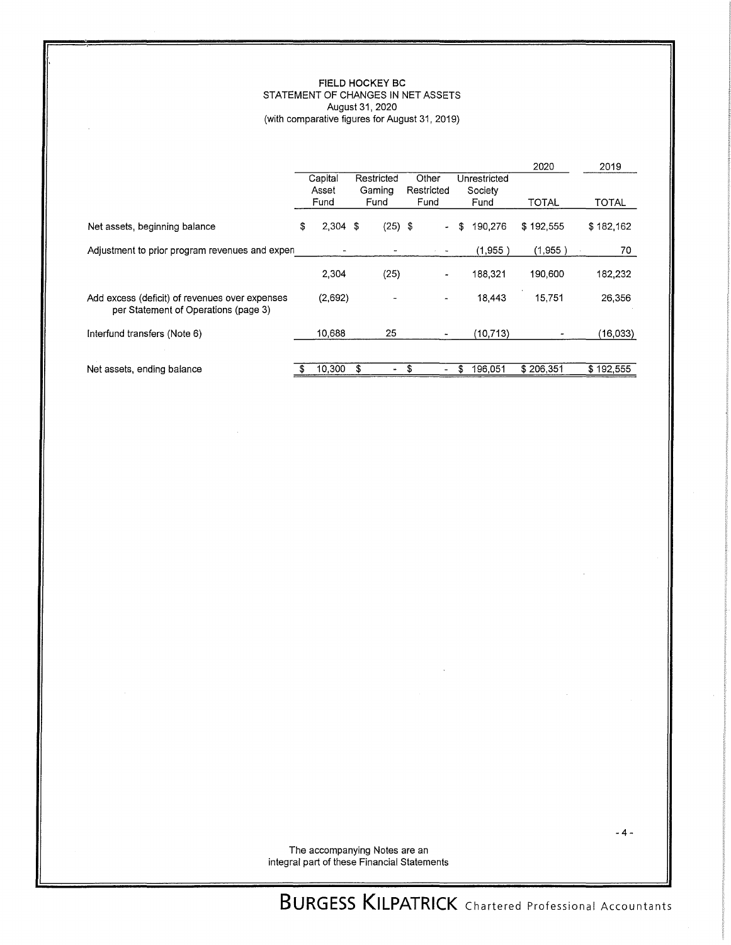#### FIELD HOCKEY BC STATEMENT OF CHANGES IN NET ASSETS August31,2020 (with comparative figures for August 31, 2019)

|                                                                                        |                  |   |                |                          |                 | 2020         | 2019         |
|----------------------------------------------------------------------------------------|------------------|---|----------------|--------------------------|-----------------|--------------|--------------|
|                                                                                        | Capital          |   | Restricted     | Other                    | Unrestricted    |              |              |
|                                                                                        | Asset<br>Fund    |   | Gaming<br>Fund | Restricted<br>Fund       | Society<br>Fund | <b>TOTAL</b> | <b>TOTAL</b> |
|                                                                                        |                  |   |                |                          |                 |              |              |
| Net assets, beginning balance                                                          | \$<br>$2,304$ \$ |   | $(25)$ \$      | $\overline{\phantom{a}}$ | \$<br>190,276   | \$192,555    | \$182,162    |
| Adjustment to prior program revenues and expen                                         |                  |   |                |                          | (1,955)         | (1,955)      | 70           |
|                                                                                        | 2,304            |   | (25)           |                          | 188,321         | 190,600      | 182,232      |
| Add excess (deficit) of revenues over expenses<br>per Statement of Operations (page 3) | (2,692)          |   |                |                          | 18.443          | 15,751       | 26,356       |
| Interfund transfers (Note 6)                                                           | 10.688           |   | 25             |                          | (10, 713)       |              | (16,033)     |
| Net assets, ending balance                                                             | 10,300           | S |                | \$                       | \$<br>196.051   | \$206.351    | \$192,555    |

The accompanying Notes are an integral part of these Financial Statements

**BURGESS KILPATRICK** Chartered Professional Accountants

 $\bar{A}$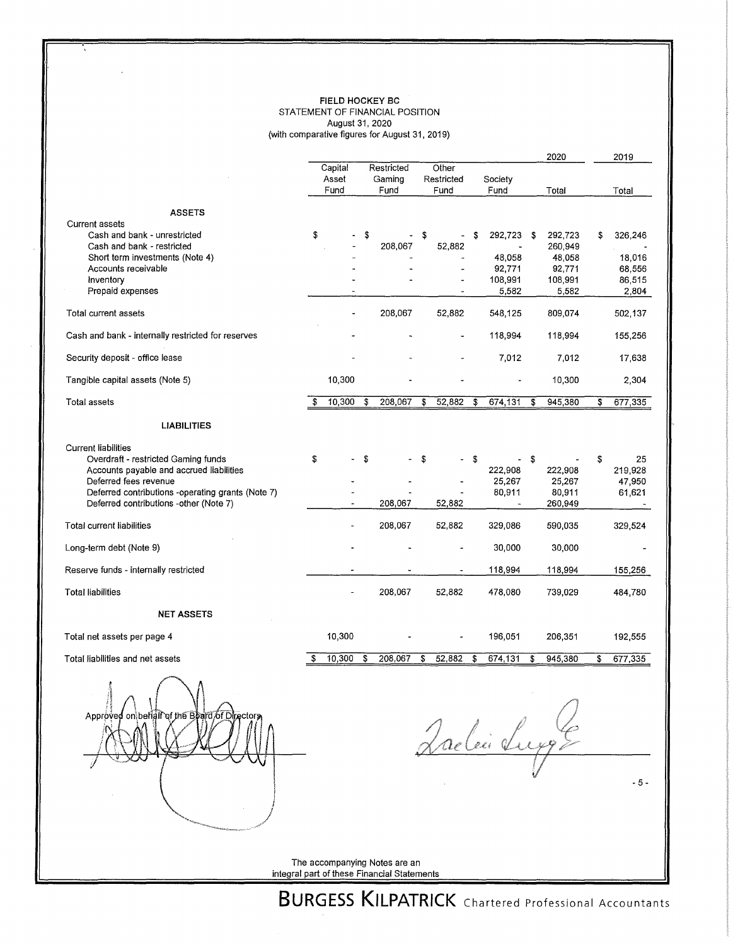#### **FIELD HOCKEY BC**  STATEMENT OF FINANCIAL POSITION August 31, 2020 (with comparative figures for August 31, 2019)

|                                                                   |     |                          |     |                               |    |                              |                       |     | 2020              | 2019              |
|-------------------------------------------------------------------|-----|--------------------------|-----|-------------------------------|----|------------------------------|-----------------------|-----|-------------------|-------------------|
|                                                                   |     | Capital                  |     | Restricted                    |    | Other                        |                       |     |                   |                   |
|                                                                   |     | Asset<br>Fund            |     | Gaming<br>Fund                |    | Restricted<br>Fund           | Society<br>Fund       |     | Total             | Total             |
|                                                                   |     |                          |     |                               |    |                              |                       |     |                   |                   |
| <b>ASSETS</b>                                                     |     |                          |     |                               |    |                              |                       |     |                   |                   |
| Current assets<br>Cash and bank - unrestricted                    | \$  |                          | \$  |                               | S  |                              | \$<br>292,723         | \$  | 292,723           | \$<br>326,246     |
| Cash and bank - restricted                                        |     |                          |     | 208,067                       |    | 52,882                       |                       |     | 260.949           |                   |
| Short term investments (Note 4)                                   |     |                          |     |                               |    |                              | 48,058                |     | 48,058            | 18,016            |
| Accounts receivable<br>Inventory                                  |     |                          |     |                               |    |                              | 92,771<br>108,991     |     | 92,771<br>108,991 | 68,556<br>86,515  |
| Prepaid expenses                                                  |     |                          |     |                               |    |                              | 5,582                 |     | 5,582             | 2,804             |
| Total current assets                                              |     |                          |     | 208,067                       |    | 52,882                       | 548,125               |     | 809,074           | 502,137           |
| Cash and bank - internally restricted for reserves                |     |                          |     |                               |    |                              | 118,994               |     | 118,994           | 155,256           |
| Security deposit - office lease                                   |     |                          |     |                               |    |                              | 7,012                 |     | 7,012             | 17,638            |
| Tangible capital assets (Note 5)                                  |     | 10,300                   |     |                               |    |                              |                       |     | 10,300            | 2,304             |
| <b>Total assets</b>                                               | -\$ | 10,300                   | s   | 208,067                       | \$ | 52,882                       | \$<br>674,131         | \$  | 945,380           | \$<br>677,335     |
| <b>LIABILITIES</b>                                                |     |                          |     |                               |    |                              |                       |     |                   |                   |
| <b>Current liabilities</b>                                        |     |                          |     |                               |    |                              |                       |     |                   |                   |
| Overdraft - restricted Gaming funds                               | \$  |                          | -\$ |                               | \$ |                              | \$                    | -\$ |                   | \$<br>25          |
| Accounts payable and accrued liabilities<br>Deferred fees revenue |     |                          |     |                               |    |                              | 222,908<br>25,267     |     | 222,908<br>25,267 | 219,928<br>47,950 |
| Deferred contributions -operating grants (Note 7)                 |     |                          |     |                               |    |                              | 80,911                |     | 80,911            | 61,621            |
| Deferred contributions -other (Note 7)                            |     | $\overline{\phantom{a}}$ |     | 208,067                       |    | 52,882                       | $\tilde{\phantom{a}}$ |     | 260,949           |                   |
| Total current liabilities                                         |     | ÷                        |     | 208,067                       |    | 52,882                       | 329,086               |     | 590,035           | 329,524           |
| Long-term debt (Note 9)                                           |     |                          |     |                               |    |                              | 30,000                |     | 30,000            |                   |
| Reserve funds - internally restricted                             |     |                          |     |                               |    | $\qquad \qquad \blacksquare$ | 118,994               |     | 118,994           | 155,256           |
| <b>Total liabilities</b>                                          |     |                          |     | 208,067                       |    | 52,882                       | 478,080               |     | 739,029           | 484,780           |
| <b>NET ASSETS</b>                                                 |     |                          |     |                               |    |                              |                       |     |                   |                   |
| Total net assets per page 4                                       |     | 10,300                   |     |                               |    |                              | 196,051               |     | 206,351           | 192,555           |
| Total liabilities and net assets                                  | \$  | 10,300                   | S.  | 208,067                       | \$ | 52,882                       | \$<br>674,131         | \$  | 945,380           | \$<br>677,335     |
| Approved on behalf of the Board of Directors                      |     |                          |     |                               |    |                              | relieu Luxe           |     |                   | $-5 -$            |
|                                                                   |     |                          |     | The accompanying Notes are an |    |                              |                       |     |                   |                   |
|                                                                   |     |                          |     |                               |    |                              |                       |     |                   |                   |

integral part of these Financial Statements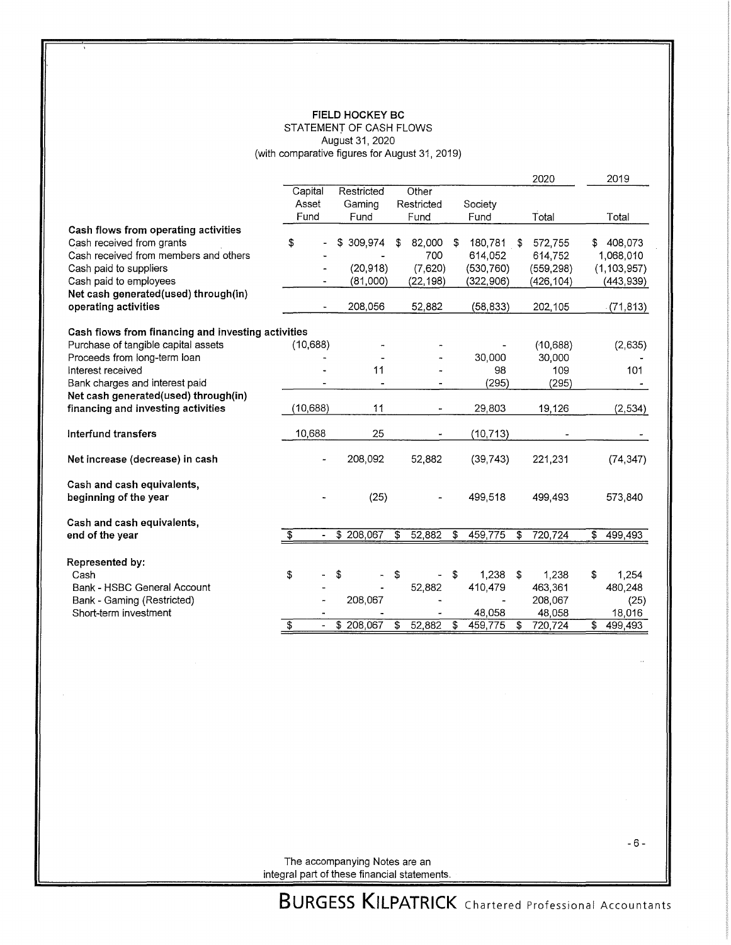#### FIELD HOCKEY BC STATEMENT OF CASH FLOWS August31,2020 (with comparative figures for August 31, 2019)

|                                                     |                           |            |                                   |               | 2020          | 2019                               |
|-----------------------------------------------------|---------------------------|------------|-----------------------------------|---------------|---------------|------------------------------------|
|                                                     | Capital                   | Restricted | Other                             |               |               |                                    |
|                                                     | Asset                     | Gaming     | Restricted                        | Society       |               |                                    |
|                                                     | Fund                      | Fund       | Fund                              | Fund          | Total         | Total                              |
| Cash flows from operating activities                |                           |            |                                   |               |               |                                    |
| Cash received from grants                           | \$                        | 309,974    | 82,000<br>£.                      | 180,781<br>\$ | \$<br>572,755 | 408,073<br>S.                      |
| Cash received from members and others               |                           |            | 700                               | 614,052       | 614,752       | 1,068,010                          |
| Cash paid to suppliers                              |                           | (20, 918)  | (7,620)                           | (530, 760)    | (559, 298)    | (1, 103, 957)                      |
| Cash paid to employees                              |                           | (81,000)   | (22, 198)                         | (322,906)     | (426, 104)    | (443, 939)                         |
| Net cash generated(used) through(in)                |                           |            |                                   |               |               |                                    |
| operating activities                                |                           | 208,056    | 52,882                            | (58, 833)     | 202,105       | (71, 813)                          |
| Cash flows from financing and investing activities  |                           |            |                                   |               |               |                                    |
| Purchase of tangible capital assets                 | (10,688)                  |            |                                   |               | (10,688)      | (2,635)                            |
| Proceeds from long-term loan                        |                           |            |                                   | 30,000        | 30,000        |                                    |
| Interest received                                   |                           | 11         |                                   | 98            | 109           | 101                                |
| Bank charges and interest paid                      |                           |            |                                   | (295)         | (295)         |                                    |
| Net cash generated(used) through(in)                |                           |            |                                   |               |               |                                    |
| financing and investing activities                  | (10,688)                  | 11         |                                   | 29,803        | 19,126        | (2, 534)                           |
|                                                     |                           |            |                                   |               |               |                                    |
| Interfund transfers                                 | 10,688                    | 25         |                                   | (10, 713)     |               |                                    |
| Net increase (decrease) in cash                     |                           | 208,092    | 52,882                            | (39, 743)     | 221,231       | (74, 347)                          |
| Cash and cash equivalents,<br>beginning of the year |                           | (25)       |                                   | 499,518       | 499,493       | 573,840                            |
| Cash and cash equivalents,                          |                           |            |                                   |               |               |                                    |
| end of the year                                     | \$                        | \$208,067  | $\overline{\mathbf{s}}$<br>52,882 | 459,775<br>\$ | \$<br>720,724 | $\overline{\mathbf{s}}$<br>499,493 |
| Represented by:                                     |                           |            |                                   |               |               |                                    |
| Cash                                                | \$                        | \$         | \$                                | 1,238<br>\$   | \$<br>1,238   | \$<br>1,254                        |
| Bank - HSBC General Account                         |                           |            | 52,882                            | 410,479       | 463,361       | 480,248                            |
| Bank - Gaming (Restricted)                          |                           | 208,067    |                                   |               | 208,067       | (25)                               |
| Short-term investment                               |                           |            |                                   | 48.058        | 48,058        | 18,016                             |
|                                                     | $\overline{\mathfrak{s}}$ | \$208,067  | \$<br>52,882                      | \$<br>459,775 | \$<br>720,724 | \$<br>499,493                      |

The accompanying Notes are an integral part of these financial statements, - 6-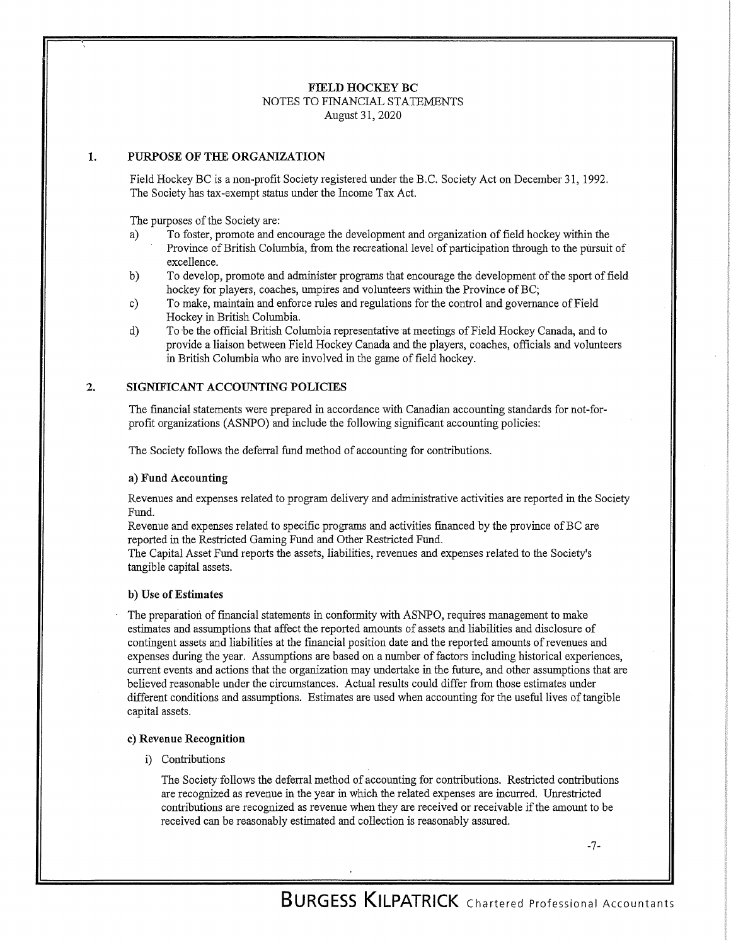#### **1. PURPOSE OF THE ORGANIZATION**

Field Hockey BC is a non-profit Society registered under the B.C. Society Act on December 31, 1992. The Society has tax-exempt status under the Income Tax Act.

The purposes of the Society are:

- a) To foster, promote and encourage the development and organization offield hockey within the Province of British Columbia, from the recreational level of participation through to the pursuit of excellence.
- b) To develop, promote and administer programs that encourage the development of the sport of field hockey for players, coaches, umpires and volunteers within the Province of BC;
- c) To make, maintain and enforce rules and regulations for the control and governance ofField Hockey in British Columbia.
- d) To 'be the official British Columbia representative at meetings ofField Hockey Canada, and to provide a liaison between Field Hockey Canada and the players, coaches, officials and volunteers in British Columbia who are involved in the game of field hockey.

#### **2. SIGNIFICANT ACCOUNTING POLICIES**

The financial statements were prepared in accordance with Canadian accounting standards for not-forprofit organizations (ASNPO) and include the following significant accounting policies:

The Society follows the deferral fund method of accounting for contributions.

#### **a) Fund Accounting**

Revenues and expenses related to program delivery and administrative activities are reported in the Society Fund.

Revenue and expenses related to specific programs and activities financed by the province of BC are reported in the Restricted Gaming Fund and Other Restricted Fund.

The Capital Asset Fund reports the assets, liabilities, revenues and expenses related to the Society's tangible capital assets.

#### **b) Use** of Estimates

The preparation of financial statements in conformity with ASNPO, requires management to make estimates and assumptions that affect the reported amounts of assets and liabilities and disclosure of contingent assets and liabilities at the financial position date and the reported amounts of revenues and expenses during the year. Assumptions are based on a number of factors including historical experiences, current events and actions that the organization may undertake in the future, and other assumptions that are believed reasonable under the circumstances. Actual results could differ from those estimates under different conditions and assumptions. Estimates are used when accounting for the useful lives of tangible capital assets.

#### **c) Revenue Recognition**

i) Contributions

The Society follows the deferral method of accounting for contributions. Restricted contributions are recognized as revenue in the year in which the related expenses are incurred. Unrestricted contributions are recognized as revenue when they are received or receivable if the amount to be received can be reasonably estimated and collection is reasonably assured.

-7-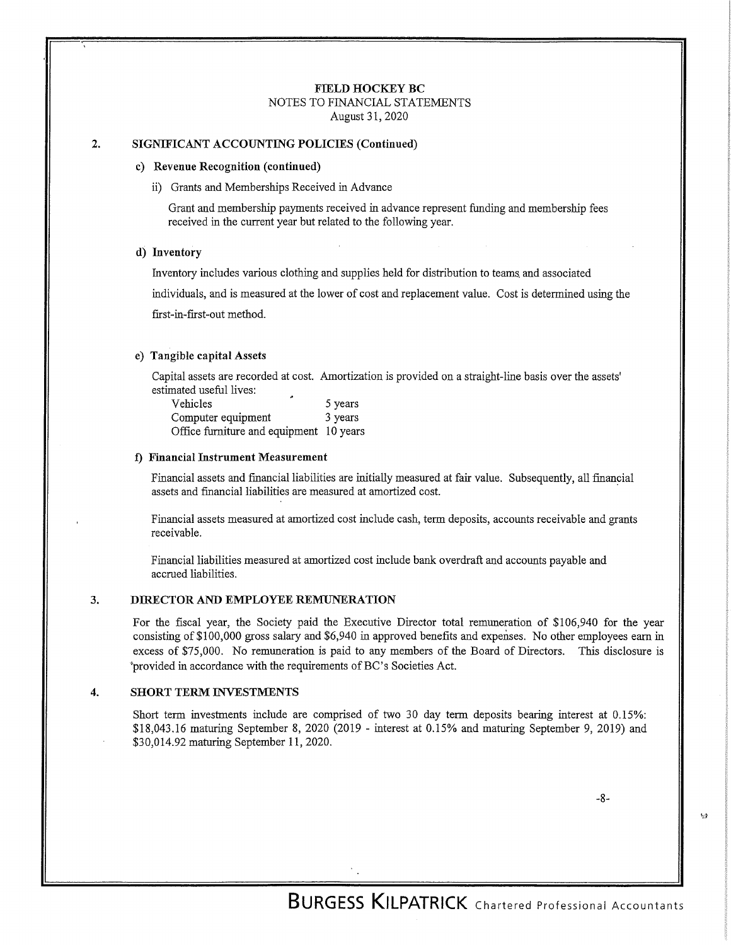#### 2. SIGNIFICANT ACCOUNTING POLICIES (Continued)

#### c) Revenue Recognition (continued)

#### ii) Grants and Memberships Received in Advance

Grant and membership payments received in advance represent funding and membership fees received in the current year but related to the following year.

#### d) Inventory

Inventory includes various clothing and supplies held for distribution to teams, and associated individuals, and is measured at the lower of cost and replacement value. Cost is determined using the first-in-first-out method.

#### e) Tangible capital Assets

Capital assets are recorded at cost. Amortization is provided on a straight-line basis over the assets' estimated useful lives:

| <b>Vehicles</b>                         | 5 years |
|-----------------------------------------|---------|
| Computer equipment                      | 3 years |
| Office furniture and equipment 10 years |         |

#### f) Financial Instrument Measurement

Financial assets and financial liabilities are initially measured at fair value. Subsequently, all financial assets and financial liabilities are measured at amortized cost.

Financial assets measured at amortized cost include cash, term deposits, accounts receivable and grants receivable.

Financial liabilities measured at amortized cost include bank overdraft and accounts payable and accrued liabilities.

### 3. DIRECTOR AND EMPLOYEE REMUNERATION

For the fiscal year, the Society paid the Executive Director total remuneration of \$106,940 for the year consisting of\$100,000 gross salary and \$6,940 in approved benefits and expenses. No other employees earn in excess of \$75,000. No remuneration is paid to any members of the Board of Directors. This disclosure is \*provided in accordance with the requirements of BC's Societies Act.

#### 4. SHORT TERM INVESTMENTS

Short term investments include are comprised of two 30 day term deposits bearing interest at 0.15%: \$18,043.16 maturing September 8, 2020 (2019 - interest at 0.15% and maturing September 9,2019) and \$30,014.92 maturing September 11,2020.

52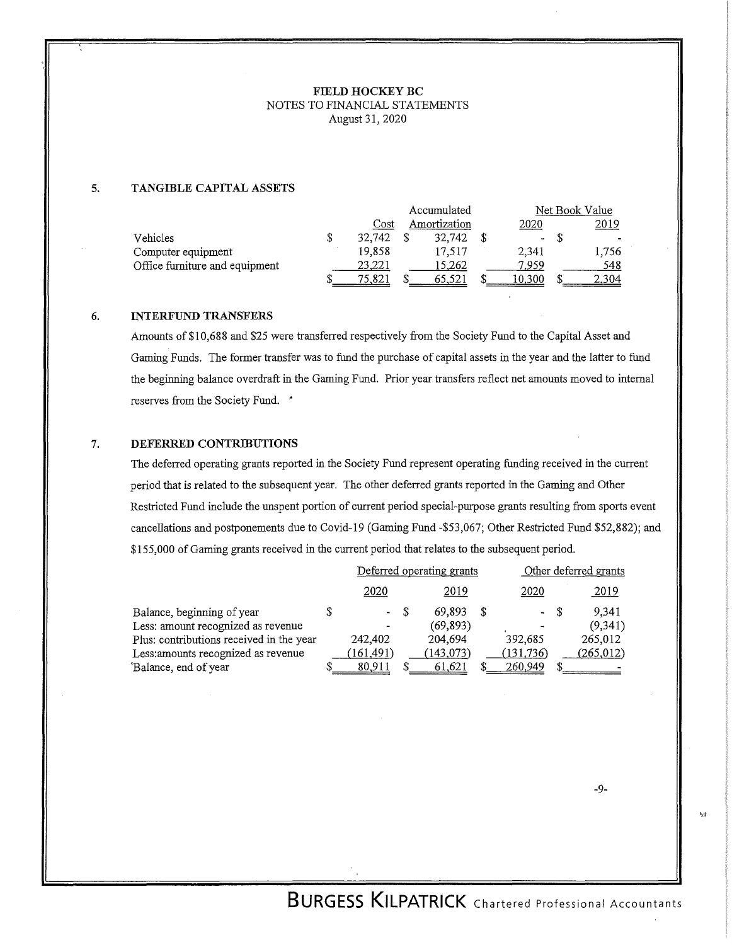#### **5. TANGIBLE CAPITAL ASSETS**

|                                |    |        | Accumulated  |                          | Net Book Value |
|--------------------------------|----|--------|--------------|--------------------------|----------------|
|                                |    | Cost   | Amortization | 2020                     | 2019           |
| Vehicles                       | \$ | 32.742 | 32.742       | $\overline{\phantom{a}}$ | -              |
| Computer equipment             |    | 19.858 | 17.517       | 2.341                    | 1.756          |
| Office furniture and equipment |    | 23.221 | 15.262       | 7.959                    | 548            |
|                                | ٠D | 75.82. |              | 0.300                    | 2.304          |

#### **6. INTERFUND TRANSFERS**

Amounts of\$10,688 and \$25 were transferred respectively from the Society Fund to the Capital Asset and Gaming Funds. The former transfer was to fund the purchase of capital assets in the year and the latter to fund the beginning balance overdraft in the Gaming Fund. Prior year transfers reflect net amounts moved to internal reserves from the Society Fund. '

#### 7. **DEFERRED CONTRIBUTIONS**

The deferred operating grants reported in the Society Fund represent operating funding received in the current period that is related to the subsequent year. The other deferred grants reported in the Gaming and Other Restricted Fund include the unspent portion of current period special-purpose grants resulting from sports event cancellations and postponements due to Covid-19 (Gaming Fund -\$53,067; Other Restricted Fund \$52,882); and \$155,000 of Gaming grants received in the current period that relates to the subsequent period.

|                                          |           | Deferred operating grants |                |      | Other deferred grants |  |  |
|------------------------------------------|-----------|---------------------------|----------------|------|-----------------------|--|--|
|                                          | 2020      | 2019                      | 2020           |      | 2019                  |  |  |
| Balance, beginning of year               | $\sim$    | 69.893                    | $\blacksquare$ | - \$ | 9.341                 |  |  |
| Less: amount recognized as revenue       |           | (69,893)                  |                |      | (9,341)               |  |  |
| Plus: contributions received in the year | 242,402   | 204,694                   | 392,685        |      | 265,012               |  |  |
| Less: amounts recognized as revenue      | (161,491) | (143, 073)                | (131, 736)     |      | (265, 012)            |  |  |
| 'Balance, end of year                    | 80,911    | 61.621                    | 260,949        |      |                       |  |  |

-9-

ьá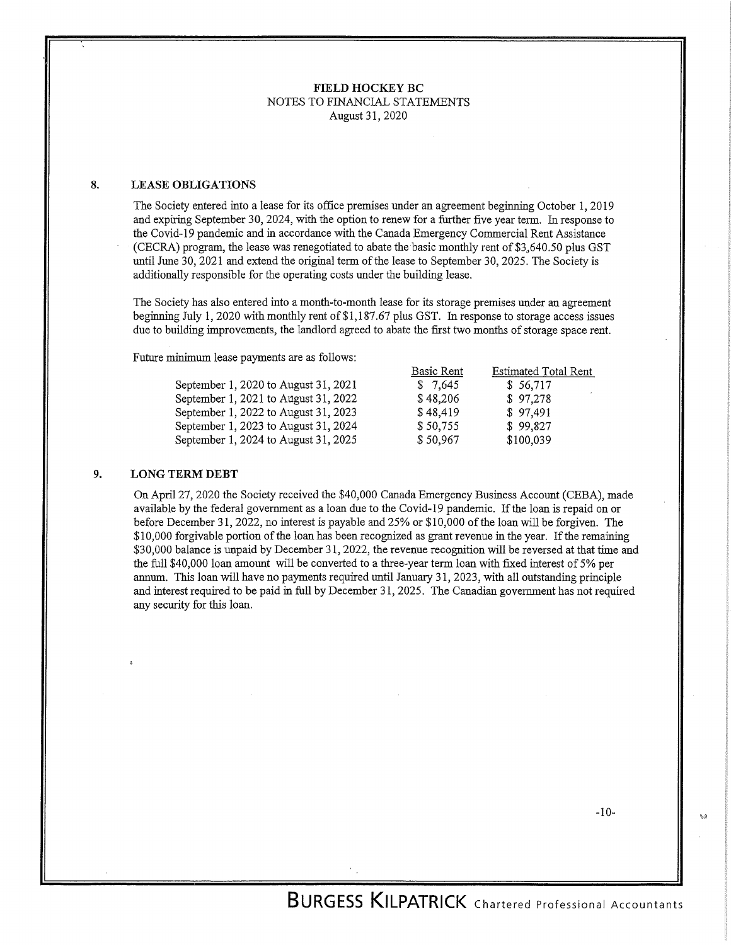### **8. LEASE OBLIGATIONS**

The Society entered into a lease for its office premises under an agreement beginning October 1,2019 and expiring September 30,2024, with the option to renew for a further five year term. In response to the Covid-19 pandemic and in accordance with the Canada Emergency Commercial Rent Assistance (CECRA) program, the lease was renegotiated to abate the basic monthly rent of \$3,640.50 plus GST until June 30, 2021 and extend the original term of the lease to September 30, 2025. The Society is additionally responsible for the operating costs under the building lease.

The Society has also entered into a month-to-month lease for its storage premises under an agreement beginning July 1,2020 with monthly rent of\$1,187.67 plus GST. In response to storage access issues due to building improvements, the landlord agreed to abate the first two months of storage space rent.

Future minimum lease payments are as follows:

|                                      | Dasic Reil | esumated Total Rent |
|--------------------------------------|------------|---------------------|
| September 1, 2020 to August 31, 2021 | \$7.645    | \$56,717            |
| September 1, 2021 to August 31, 2022 | \$48,206   | \$97,278            |
| September 1, 2022 to August 31, 2023 | \$48,419   | \$97,491            |
| September 1, 2023 to August 31, 2024 | \$50,755   | \$99,827            |
| September 1, 2024 to August 31, 2025 | \$50,967   | \$100,039           |
|                                      |            |                     |

Basic Rent

Estimated Total Rent

#### **9. LONG TERM DEBT**

On April 27, 2020 the Society received the \$40,000 Canada Emergency Business Account (CEBA), made available by the federal government as a loan due to the Covid-19 pandemic. lfthe loan is repaid on or before December 31, 2022, no interest is payable and 25% or \$10,000 of the loan will be forgiven. The \$10,000 forgivable portion of the loan has been recognized as grant revenue in the year. If the remaining \$30,000 balance is unpaid by December 31,2022, the revenue recognition will be reversed at that time and the full \$40,000 loan amount will be converted to a three-year term loan with fixed interest of 5% per annum. This loan will have no payments required until January 31, 2023, with all outstanding principle and interest required to be paid in full by December 31, 2025. The Canadian government has not required any security for this loan.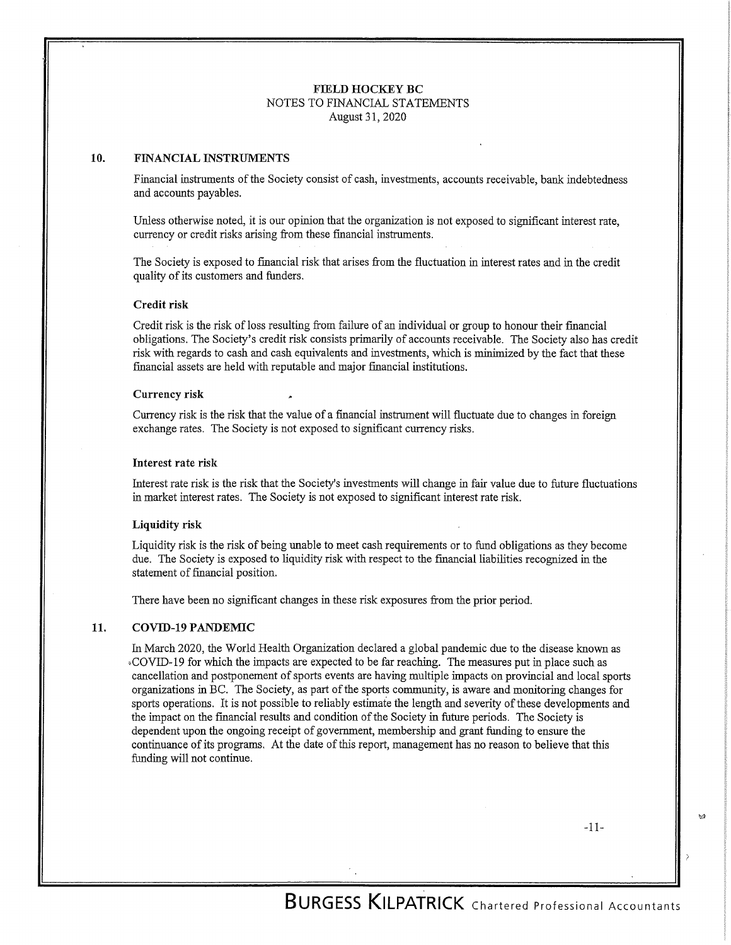#### **10. FINANCIAL INSTRUMENTS**

Financial instruments of the Society consist of cash, investments, accounts receivable, bank indebtedness and accounts payables.

Unless otherwise noted, it is our opinion that the organization is not exposed to significant interest rate, currency or credit risks arising from these financial instruments.

The Society is exposed to financial risk that arises from the fluctuation in interest rates and in the credit quality of its customers and funders.

#### **Credit risk**

Credit risk is the risk of loss resulting from failure of an individual or group to honour their financial obligations. The Society's credit risk consists primarily of accounts receivable. The Society also has credit risk with regards to cash and cash equivalents and investments, which is minimized by the fact that these financial assets are held with reputable and major financial institutions.

#### **Currency risk**

Currency risk is the risk that the value of a financial instrument will fluctuate due to changes in foreign exchange rates. The Society is not exposed to significant currency risks.

#### **Interest rate risk**

Interest rate risk is the risk that the Society's investments will change in fair value due to future fluctuations in market interest rates. The Society is not exposed to significant interest rate risk.

#### **Liquidity risk**

Liquidity risk is the risk of being unable to meet cash requirements or to fund obligations as they become due. The Society is exposed to liquidity risk with respect to the financial liabilities recognized in the statement of financial position.

There have been no significant changes in these risk exposures from the prior period.

#### **11. COVID-19 PANDEMIC**

In March 2020, the World Health Organization declared a global pandemic due to the disease known as <·COVID-19 for which the impacts are expected to be far reaching. The measures put in place such as cancellation and postponement of sports events are having multiple impacts on provincial and local sports organizations in BC. The Society, as part of the sports community, is aware and monitoring changes for sports operations. It is not possible to reliably estimate the length and severity of these developments and the impact on the financial results and condition of the Society in future periods. The Society is dependent upon the ongoing receipt of government, membership and grant funding to ensure the continuance of its programs. At the date of this report, management has no reason to believe that this funding will not continue.

**-11-**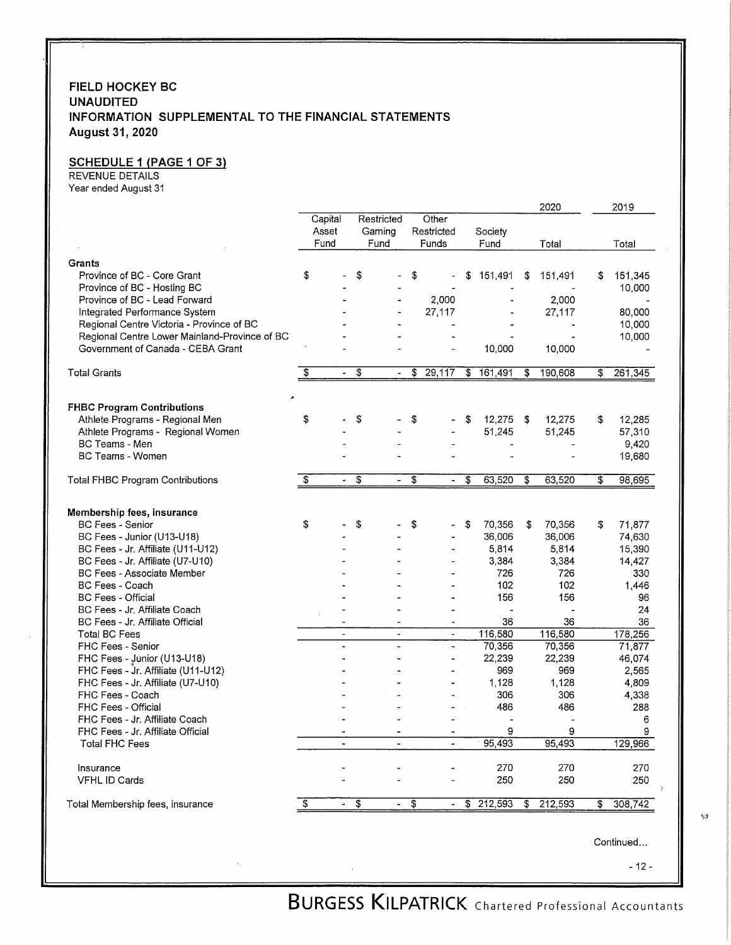#### **SCHEDULE 1 {PAGE 1 OF 3}**

REVENUE DETAILS Year ended August 31

|                                                            |                          |                                  |    |                              |                              |                |                 | 2020           |    | 2019              |  |
|------------------------------------------------------------|--------------------------|----------------------------------|----|------------------------------|------------------------------|----------------|-----------------|----------------|----|-------------------|--|
|                                                            | Capital<br>Asset<br>Fund |                                  |    | Restricted<br>Gaming<br>Fund | Other<br>Restricted<br>Funds |                | Society<br>Fund | Total          |    | Total             |  |
| Grants                                                     |                          |                                  |    |                              |                              |                |                 |                |    |                   |  |
| Province of BC - Core Grant<br>Province of BC - Hosting BC | \$                       |                                  | \$ |                              | \$                           |                | \$<br>151,491   | \$<br>151,491  | S  | 151,345<br>10,000 |  |
| Province of BC - Lead Forward                              |                          |                                  |    |                              |                              | 2,000          |                 | 2,000          |    |                   |  |
| Integrated Performance System                              |                          |                                  |    |                              |                              | 27,117         |                 | 27,117         |    | 80,000            |  |
| Regional Centre Victoria - Province of BC                  |                          |                                  |    |                              |                              |                |                 |                |    | 10,000            |  |
| Regional Centre Lower Mainland-Province of BC              |                          |                                  |    |                              |                              |                |                 |                |    | 10,000            |  |
| Government of Canada - CEBA Grant                          |                          |                                  |    |                              |                              |                | 10,000          | 10,000         |    |                   |  |
|                                                            |                          |                                  |    |                              |                              |                |                 |                |    |                   |  |
| <b>Total Grants</b>                                        | \$                       | $\omega$                         | \$ | $\mathbf{r}$                 | \$                           | 29,117         | \$<br>161,491   | \$<br>190.608  | \$ | 261,345           |  |
| <b>FHBC Program Contributions</b>                          |                          |                                  |    |                              |                              |                |                 |                |    |                   |  |
| Athlete Programs - Regional Men                            | \$                       |                                  | S  |                              | \$                           |                | \$<br>12,275    | \$<br>12,275   | \$ | 12,285            |  |
| Athlete Programs - Regional Women                          |                          |                                  |    |                              |                              |                | 51,245          | 51,245         |    | 57,310            |  |
| <b>BC Teams - Men</b>                                      |                          |                                  |    |                              |                              |                |                 |                |    | 9,420             |  |
| BC Teams - Women                                           |                          |                                  |    |                              |                              |                |                 |                |    | 19,680            |  |
|                                                            |                          |                                  |    |                              |                              |                |                 |                |    |                   |  |
| <b>Total FHBC Program Contributions</b>                    | \$                       | $\blacksquare$                   | \$ | $\blacksquare$               | \$                           | $\blacksquare$ | \$<br>63,520    | \$<br>63,520   | \$ | 98,695            |  |
|                                                            |                          |                                  |    |                              |                              |                |                 |                |    |                   |  |
| Membership fees, insurance                                 |                          |                                  |    |                              |                              |                |                 |                |    |                   |  |
| <b>BC Fees - Senior</b>                                    | \$                       |                                  | \$ |                              | \$                           |                | \$<br>70.356    | \$<br>70,356   | \$ | 71,877            |  |
| BC Fees - Junior (U13-U18)                                 |                          |                                  |    |                              |                              |                | 36,006          | 36,006         |    | 74.630            |  |
| BC Fees - Jr. Affiliate (U11-U12)                          |                          |                                  |    |                              |                              |                | 5,814           | 5,814          |    | 15,390            |  |
| BC Fees - Jr. Affiliate (U7-U10)                           |                          |                                  |    |                              |                              |                | 3,384           | 3,384          |    | 14,427            |  |
| BC Fees - Associate Member                                 |                          |                                  |    |                              |                              |                | 726             | 726            |    | 330               |  |
| BC Fees - Coach                                            |                          |                                  |    |                              |                              |                | 102             | 102            |    | 1,446             |  |
| <b>BC Fees - Official</b>                                  |                          |                                  |    |                              |                              |                | 156             | 156            |    | 96                |  |
| BC Fees - Jr. Affiliate Coach                              |                          |                                  |    |                              |                              |                | ä,              | $\overline{a}$ |    | 24                |  |
| BC Fees - Jr. Affiliate Official                           |                          | $\blacksquare$                   |    | $\rightarrow$                |                              | $\blacksquare$ | 36              | 36             |    | 36                |  |
| <b>Total BC Fees</b>                                       |                          | $\blacksquare$<br>$\overline{a}$ |    | $\overline{a}$               |                              | $\blacksquare$ | 116,580         | 116,580        |    | 178,256           |  |
| FHC Fees - Senior                                          |                          |                                  |    |                              |                              | ٠              | 70,356          | 70,356         |    | 71,877            |  |
| FHC Fees - Junior (U13-U18)                                |                          |                                  |    |                              |                              |                | 22,239          | 22,239<br>969  |    | 46,074            |  |
| FHC Fees - Jr. Affiliate (U11-U12)                         |                          |                                  |    |                              |                              |                | 969             |                |    | 2,565             |  |
| FHC Fees - Jr. Affiliate (U7-U10)                          |                          |                                  |    |                              |                              |                | 1,128           | 1,128          |    | 4,809             |  |
| FHC Fees - Coach<br>FHC Fees - Official                    |                          |                                  |    |                              |                              |                | 306<br>486      | 306<br>486     |    | 4,338             |  |
| FHC Fees - Jr. Affiliate Coach                             |                          |                                  |    |                              |                              |                | Ĭ.              | $\sim$         |    | 288               |  |
|                                                            |                          |                                  |    |                              |                              |                | 9               | 9              |    | 6<br>9            |  |
| FHC Fees - Jr. Affiliate Official<br><b>Total FHC Fees</b> |                          | $\ddot{ }$                       |    | $\overline{a}$               |                              | $\overline{a}$ | 95,493          | 95.493         |    | 129,966           |  |
|                                                            |                          |                                  |    |                              |                              |                |                 |                |    |                   |  |
| Insurance                                                  |                          |                                  |    |                              |                              |                | 270             | 270            |    | 270               |  |
| <b>VFHL ID Cards</b>                                       |                          |                                  |    |                              |                              |                | 250             | 250            |    | 250               |  |
| Total Membership fees, insurance                           | \$                       | $\rightarrow$                    | \$ | $\blacksquare$               | \$                           | $\sim$         | \$<br>212,593   | \$<br>212,593  | \$ | 308,742           |  |
|                                                            |                          |                                  |    |                              |                              |                |                 |                |    |                   |  |
|                                                            |                          |                                  |    |                              |                              |                |                 |                |    |                   |  |

Continued...

- 12 -

 $\gamma_{\rm p}$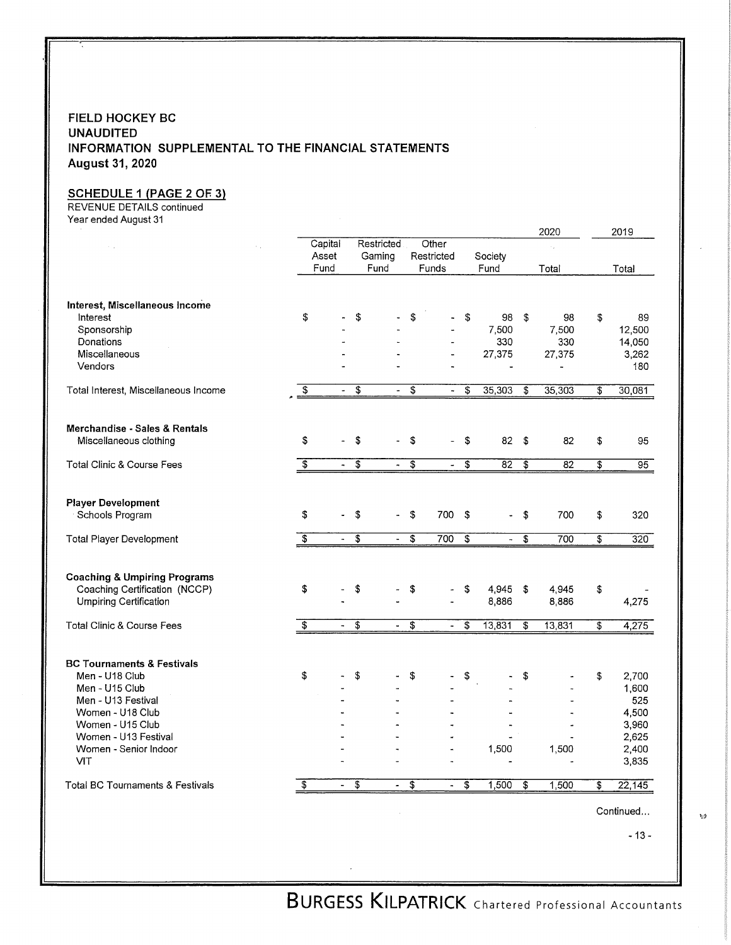# **SCHEDULE 1 {PAGE 2 Of. 3}**

REVENUE DETAILS continued Year ended August 31

|                                                                                                           |                                        |                          |                 |               |                 |                          |                         |                          | 2020                 | 2019         |
|-----------------------------------------------------------------------------------------------------------|----------------------------------------|--------------------------|-----------------|---------------|-----------------|--------------------------|-------------------------|--------------------------|----------------------|--------------|
|                                                                                                           |                                        | Capital                  |                 | Restricted    |                 | Other                    |                         |                          |                      |              |
|                                                                                                           |                                        | Asset                    |                 | Gaming        |                 | Restricted               |                         | Society                  |                      |              |
|                                                                                                           |                                        | Fund                     |                 | Fund          |                 | Funds                    |                         | Fund                     | Total                | Total        |
|                                                                                                           |                                        |                          |                 |               |                 |                          |                         |                          |                      |              |
| Interest, Miscellaneous Income                                                                            |                                        |                          |                 |               |                 |                          |                         |                          |                      |              |
| Interest                                                                                                  | \$                                     |                          | \$              |               | \$              |                          | \$                      | 98                       | \$<br>98             | \$<br>89     |
| Sponsorship                                                                                               |                                        |                          |                 |               |                 |                          |                         | 7,500                    | 7,500                | 12,500       |
| Donations                                                                                                 |                                        |                          |                 |               |                 |                          |                         | 330                      | 330                  | 14,050       |
| Miscellaneous                                                                                             |                                        |                          |                 |               |                 |                          |                         | 27,375                   | 27,375               | 3,262        |
| Vendors                                                                                                   |                                        |                          |                 |               |                 |                          |                         |                          |                      | 180          |
| Total Interest, Miscellaneous Income                                                                      | \$                                     | $\overline{\phantom{a}}$ | \$              | $\Delta \phi$ | \$              | $\overline{\phantom{a}}$ | \$                      | 35,303                   | \$<br>35,303         | \$<br>30,081 |
| Merchandise - Sales & Rentals                                                                             |                                        |                          |                 |               |                 |                          |                         |                          |                      |              |
| Miscellaneous clothing                                                                                    | \$                                     |                          | -\$             | $\sim$        | \$              |                          | \$                      | 82 \$                    | 82                   | \$<br>95     |
| <b>Total Clinic &amp; Course Fees</b>                                                                     | \$                                     | $\sim$                   | \$              | $\sim$        | \$              | $\sim$                   | $\overline{\mathbf{5}}$ | 82                       | \$<br>82             | \$<br>95     |
|                                                                                                           |                                        |                          |                 |               |                 |                          |                         |                          |                      |              |
| <b>Player Development</b><br>Schools Program                                                              | \$                                     |                          | -\$             | $\sim$        | \$              | 700                      | \$                      |                          | \$<br>700            | \$<br>320    |
|                                                                                                           |                                        |                          |                 |               |                 |                          |                         |                          |                      |              |
| <b>Total Player Development</b>                                                                           | $\overline{\boldsymbol{\mathfrak{s}}}$ | $\blacksquare$           | \$              | $\sim$        | $\overline{\$}$ | 700                      | \$                      | $\overline{\phantom{a}}$ | \$<br>700            | \$<br>320    |
| <b>Coaching &amp; Umpiring Programs</b><br>Coaching Certification (NCCP)<br><b>Umpiring Certification</b> | \$                                     |                          | \$              |               | \$              |                          | \$                      | 4,945<br>8,886           | \$<br>4,945<br>8,886 | \$<br>4,275  |
| <b>Total Clinic &amp; Course Fees</b>                                                                     | $\overline{\$}$                        | $\overline{\phantom{a}}$ | $\overline{\$}$ | $\sim$        | \$              | $\blacksquare$           | \$                      | 13,831                   | \$<br>13,831         | \$<br>4,275  |
| <b>BC Tournaments &amp; Festivals</b>                                                                     |                                        |                          |                 |               |                 |                          |                         |                          |                      |              |
| Men - U18 Club                                                                                            | \$                                     |                          | \$              |               | \$              |                          | \$                      |                          | \$                   | \$<br>2,700  |
| Men - U15 Club                                                                                            |                                        |                          |                 |               |                 |                          |                         |                          |                      | 1,600        |
| Men - U13 Festival                                                                                        |                                        |                          |                 |               |                 |                          |                         |                          |                      | 525          |
| Women - U18 Club                                                                                          |                                        |                          |                 |               |                 |                          |                         |                          |                      | 4,500        |
| Women - U15 Club                                                                                          |                                        |                          |                 |               |                 |                          |                         |                          |                      | 3,960        |
| Women - U13 Festival                                                                                      |                                        |                          |                 |               |                 |                          |                         |                          |                      | 2,625        |
| Women - Senior Indoor                                                                                     |                                        |                          |                 |               |                 | $\overline{a}$           |                         | 1,500                    | 1,500                | 2,400        |
| VIT                                                                                                       |                                        |                          |                 |               |                 |                          |                         |                          |                      | 3,835        |
| <b>Total BC Tournaments &amp; Festivals</b>                                                               | \$                                     | $\blacksquare$           | \$              | $\sim$        | \$              | $\blacksquare$           | \$                      | 1,500                    | \$<br>1,500          | \$<br>22,145 |

-13-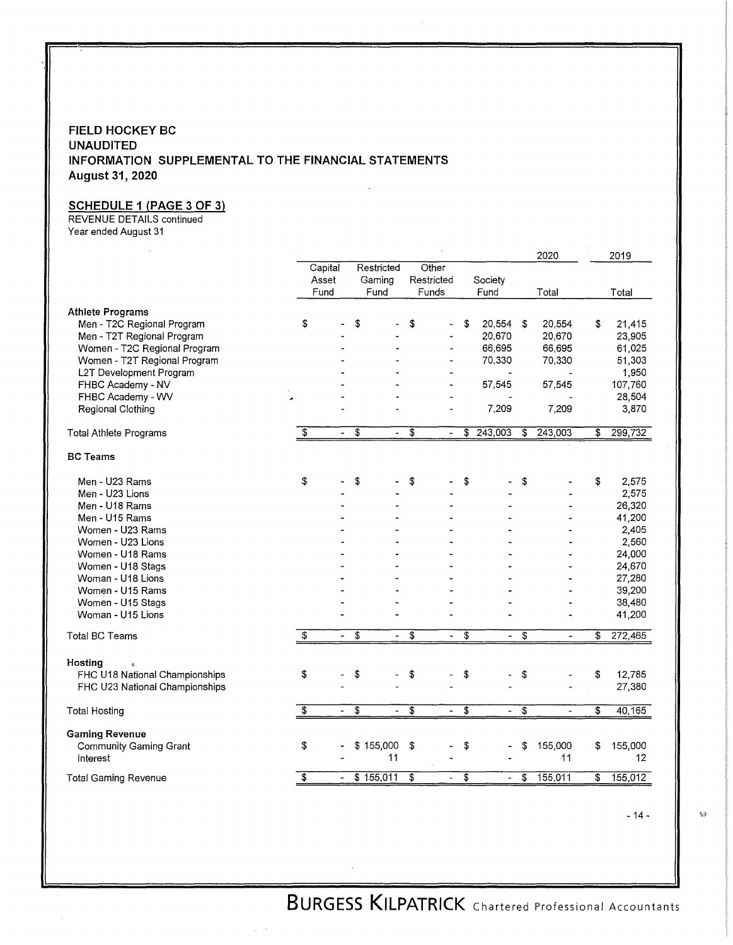$\hat{L}^{\pm}$  and

#### **SCHEDULE 1 {PAGE 3 OF 3}**

REVENUE DETAILS continued Year ended August 31

| Restricted<br>Capital<br>Society<br>Asset<br>Gaming<br>Restricted<br>Fund<br>Fund<br>Funds<br>Fund<br>Total<br>Total<br><b>Athlete Programs</b><br>\$<br>\$<br>\$<br>Men - T2C Regional Program<br>\$<br>20,554<br>\$<br>20,554<br>\$<br>21,415<br>20,670<br>20,670<br>23,905<br>Men - T2T Regional Program<br>ä,<br>Women - T2C Regional Program<br>66,695<br>66,695<br>61,025<br>Women - T2T Regional Program<br>70,330<br>70,330<br>51,303<br>L2T Development Program<br>1,950<br>FHBC Academy - NV<br>57,545<br>57,545<br>107,760<br>FHBC Academy - WV<br>28,504<br>7,209<br>7,209<br>Regional Clothing<br>3,870<br>243,003<br>\$<br>£.<br>\$<br>243,003<br>\$<br>299,732<br>\$<br>\$<br><b>Total Athlete Programs</b><br>$\blacksquare$<br>$\blacksquare$<br>$\overline{\phantom{a}}$<br><b>BC Teams</b><br>\$<br>Men - U23 Rams<br>\$<br>\$<br>\$<br>\$<br>\$<br>2,575<br>Men - U23 Lions<br>2,575<br>Men - U18 Rams<br>26,320<br>Men - U15 Rams<br>41.200<br>2,405<br>Women - U23 Rams<br>Women - U23 Lions<br>2,560<br>24,000<br>Women - U18 Rams<br>24,670<br>Women - U18 Stags<br>Woman - U18 Lions<br>27,280<br>39,200<br>Women - U15 Rams<br>Women - U15 Stags<br>38,480<br>Woman - U15 Lions<br>41,200<br>٠<br>\$<br>272,465<br><b>Total BC Teams</b><br>\$<br>\$<br>\$<br>\$<br>\$<br>$\blacksquare$<br>$\blacksquare$<br>$\overline{\phantom{a}}$<br>ä,<br>$\overline{\phantom{a}}$<br>Hosting<br>\$<br>\$<br>\$<br>FHC U18 National Championships<br>\$<br>\$<br>\$<br>12,785<br>FHC U23 National Championships<br>27,380<br>\$<br>$\overline{\mathfrak{s}}$<br>\$<br>$\overline{\mathcal{F}}$<br>\$<br>$\overline{\mathbf{s}}$<br>40,165<br><b>Total Hosting</b><br>$\blacksquare$<br>$\frac{1}{2}$<br>$\frac{1}{2}$<br>$\omega$ .<br>$\overline{\phantom{a}}$<br><b>Gaming Revenue</b><br>\$<br>\$155,000<br>155,000<br>\$<br>\$<br>\$<br>\$<br>155,000<br><b>Community Gaming Grant</b><br>11<br>$-11$<br>Interest<br>$12 \,$<br>\$155,011<br>\$<br>$\overline{\mathfrak{s}}$<br>155,011<br>\$<br>\$<br>\$<br>155,012<br><b>Total Gaming Revenue</b><br>$\blacksquare$<br>$\overline{\phantom{a}}$<br>$\overline{\phantom{a}}$ |  |  |       |  | 2020 | 2019 |
|---------------------------------------------------------------------------------------------------------------------------------------------------------------------------------------------------------------------------------------------------------------------------------------------------------------------------------------------------------------------------------------------------------------------------------------------------------------------------------------------------------------------------------------------------------------------------------------------------------------------------------------------------------------------------------------------------------------------------------------------------------------------------------------------------------------------------------------------------------------------------------------------------------------------------------------------------------------------------------------------------------------------------------------------------------------------------------------------------------------------------------------------------------------------------------------------------------------------------------------------------------------------------------------------------------------------------------------------------------------------------------------------------------------------------------------------------------------------------------------------------------------------------------------------------------------------------------------------------------------------------------------------------------------------------------------------------------------------------------------------------------------------------------------------------------------------------------------------------------------------------------------------------------------------------------------------------------------------------------------------------------------------------------------------------------------------------------------------------------------------------------------------------|--|--|-------|--|------|------|
|                                                                                                                                                                                                                                                                                                                                                                                                                                                                                                                                                                                                                                                                                                                                                                                                                                                                                                                                                                                                                                                                                                                                                                                                                                                                                                                                                                                                                                                                                                                                                                                                                                                                                                                                                                                                                                                                                                                                                                                                                                                                                                                                                   |  |  | Other |  |      |      |
|                                                                                                                                                                                                                                                                                                                                                                                                                                                                                                                                                                                                                                                                                                                                                                                                                                                                                                                                                                                                                                                                                                                                                                                                                                                                                                                                                                                                                                                                                                                                                                                                                                                                                                                                                                                                                                                                                                                                                                                                                                                                                                                                                   |  |  |       |  |      |      |
|                                                                                                                                                                                                                                                                                                                                                                                                                                                                                                                                                                                                                                                                                                                                                                                                                                                                                                                                                                                                                                                                                                                                                                                                                                                                                                                                                                                                                                                                                                                                                                                                                                                                                                                                                                                                                                                                                                                                                                                                                                                                                                                                                   |  |  |       |  |      |      |
|                                                                                                                                                                                                                                                                                                                                                                                                                                                                                                                                                                                                                                                                                                                                                                                                                                                                                                                                                                                                                                                                                                                                                                                                                                                                                                                                                                                                                                                                                                                                                                                                                                                                                                                                                                                                                                                                                                                                                                                                                                                                                                                                                   |  |  |       |  |      |      |
|                                                                                                                                                                                                                                                                                                                                                                                                                                                                                                                                                                                                                                                                                                                                                                                                                                                                                                                                                                                                                                                                                                                                                                                                                                                                                                                                                                                                                                                                                                                                                                                                                                                                                                                                                                                                                                                                                                                                                                                                                                                                                                                                                   |  |  |       |  |      |      |
|                                                                                                                                                                                                                                                                                                                                                                                                                                                                                                                                                                                                                                                                                                                                                                                                                                                                                                                                                                                                                                                                                                                                                                                                                                                                                                                                                                                                                                                                                                                                                                                                                                                                                                                                                                                                                                                                                                                                                                                                                                                                                                                                                   |  |  |       |  |      |      |
|                                                                                                                                                                                                                                                                                                                                                                                                                                                                                                                                                                                                                                                                                                                                                                                                                                                                                                                                                                                                                                                                                                                                                                                                                                                                                                                                                                                                                                                                                                                                                                                                                                                                                                                                                                                                                                                                                                                                                                                                                                                                                                                                                   |  |  |       |  |      |      |
|                                                                                                                                                                                                                                                                                                                                                                                                                                                                                                                                                                                                                                                                                                                                                                                                                                                                                                                                                                                                                                                                                                                                                                                                                                                                                                                                                                                                                                                                                                                                                                                                                                                                                                                                                                                                                                                                                                                                                                                                                                                                                                                                                   |  |  |       |  |      |      |
|                                                                                                                                                                                                                                                                                                                                                                                                                                                                                                                                                                                                                                                                                                                                                                                                                                                                                                                                                                                                                                                                                                                                                                                                                                                                                                                                                                                                                                                                                                                                                                                                                                                                                                                                                                                                                                                                                                                                                                                                                                                                                                                                                   |  |  |       |  |      |      |
|                                                                                                                                                                                                                                                                                                                                                                                                                                                                                                                                                                                                                                                                                                                                                                                                                                                                                                                                                                                                                                                                                                                                                                                                                                                                                                                                                                                                                                                                                                                                                                                                                                                                                                                                                                                                                                                                                                                                                                                                                                                                                                                                                   |  |  |       |  |      |      |
|                                                                                                                                                                                                                                                                                                                                                                                                                                                                                                                                                                                                                                                                                                                                                                                                                                                                                                                                                                                                                                                                                                                                                                                                                                                                                                                                                                                                                                                                                                                                                                                                                                                                                                                                                                                                                                                                                                                                                                                                                                                                                                                                                   |  |  |       |  |      |      |
|                                                                                                                                                                                                                                                                                                                                                                                                                                                                                                                                                                                                                                                                                                                                                                                                                                                                                                                                                                                                                                                                                                                                                                                                                                                                                                                                                                                                                                                                                                                                                                                                                                                                                                                                                                                                                                                                                                                                                                                                                                                                                                                                                   |  |  |       |  |      |      |
|                                                                                                                                                                                                                                                                                                                                                                                                                                                                                                                                                                                                                                                                                                                                                                                                                                                                                                                                                                                                                                                                                                                                                                                                                                                                                                                                                                                                                                                                                                                                                                                                                                                                                                                                                                                                                                                                                                                                                                                                                                                                                                                                                   |  |  |       |  |      |      |
|                                                                                                                                                                                                                                                                                                                                                                                                                                                                                                                                                                                                                                                                                                                                                                                                                                                                                                                                                                                                                                                                                                                                                                                                                                                                                                                                                                                                                                                                                                                                                                                                                                                                                                                                                                                                                                                                                                                                                                                                                                                                                                                                                   |  |  |       |  |      |      |
|                                                                                                                                                                                                                                                                                                                                                                                                                                                                                                                                                                                                                                                                                                                                                                                                                                                                                                                                                                                                                                                                                                                                                                                                                                                                                                                                                                                                                                                                                                                                                                                                                                                                                                                                                                                                                                                                                                                                                                                                                                                                                                                                                   |  |  |       |  |      |      |
|                                                                                                                                                                                                                                                                                                                                                                                                                                                                                                                                                                                                                                                                                                                                                                                                                                                                                                                                                                                                                                                                                                                                                                                                                                                                                                                                                                                                                                                                                                                                                                                                                                                                                                                                                                                                                                                                                                                                                                                                                                                                                                                                                   |  |  |       |  |      |      |
|                                                                                                                                                                                                                                                                                                                                                                                                                                                                                                                                                                                                                                                                                                                                                                                                                                                                                                                                                                                                                                                                                                                                                                                                                                                                                                                                                                                                                                                                                                                                                                                                                                                                                                                                                                                                                                                                                                                                                                                                                                                                                                                                                   |  |  |       |  |      |      |
|                                                                                                                                                                                                                                                                                                                                                                                                                                                                                                                                                                                                                                                                                                                                                                                                                                                                                                                                                                                                                                                                                                                                                                                                                                                                                                                                                                                                                                                                                                                                                                                                                                                                                                                                                                                                                                                                                                                                                                                                                                                                                                                                                   |  |  |       |  |      |      |
|                                                                                                                                                                                                                                                                                                                                                                                                                                                                                                                                                                                                                                                                                                                                                                                                                                                                                                                                                                                                                                                                                                                                                                                                                                                                                                                                                                                                                                                                                                                                                                                                                                                                                                                                                                                                                                                                                                                                                                                                                                                                                                                                                   |  |  |       |  |      |      |
|                                                                                                                                                                                                                                                                                                                                                                                                                                                                                                                                                                                                                                                                                                                                                                                                                                                                                                                                                                                                                                                                                                                                                                                                                                                                                                                                                                                                                                                                                                                                                                                                                                                                                                                                                                                                                                                                                                                                                                                                                                                                                                                                                   |  |  |       |  |      |      |
|                                                                                                                                                                                                                                                                                                                                                                                                                                                                                                                                                                                                                                                                                                                                                                                                                                                                                                                                                                                                                                                                                                                                                                                                                                                                                                                                                                                                                                                                                                                                                                                                                                                                                                                                                                                                                                                                                                                                                                                                                                                                                                                                                   |  |  |       |  |      |      |
|                                                                                                                                                                                                                                                                                                                                                                                                                                                                                                                                                                                                                                                                                                                                                                                                                                                                                                                                                                                                                                                                                                                                                                                                                                                                                                                                                                                                                                                                                                                                                                                                                                                                                                                                                                                                                                                                                                                                                                                                                                                                                                                                                   |  |  |       |  |      |      |
|                                                                                                                                                                                                                                                                                                                                                                                                                                                                                                                                                                                                                                                                                                                                                                                                                                                                                                                                                                                                                                                                                                                                                                                                                                                                                                                                                                                                                                                                                                                                                                                                                                                                                                                                                                                                                                                                                                                                                                                                                                                                                                                                                   |  |  |       |  |      |      |
|                                                                                                                                                                                                                                                                                                                                                                                                                                                                                                                                                                                                                                                                                                                                                                                                                                                                                                                                                                                                                                                                                                                                                                                                                                                                                                                                                                                                                                                                                                                                                                                                                                                                                                                                                                                                                                                                                                                                                                                                                                                                                                                                                   |  |  |       |  |      |      |
|                                                                                                                                                                                                                                                                                                                                                                                                                                                                                                                                                                                                                                                                                                                                                                                                                                                                                                                                                                                                                                                                                                                                                                                                                                                                                                                                                                                                                                                                                                                                                                                                                                                                                                                                                                                                                                                                                                                                                                                                                                                                                                                                                   |  |  |       |  |      |      |
|                                                                                                                                                                                                                                                                                                                                                                                                                                                                                                                                                                                                                                                                                                                                                                                                                                                                                                                                                                                                                                                                                                                                                                                                                                                                                                                                                                                                                                                                                                                                                                                                                                                                                                                                                                                                                                                                                                                                                                                                                                                                                                                                                   |  |  |       |  |      |      |
|                                                                                                                                                                                                                                                                                                                                                                                                                                                                                                                                                                                                                                                                                                                                                                                                                                                                                                                                                                                                                                                                                                                                                                                                                                                                                                                                                                                                                                                                                                                                                                                                                                                                                                                                                                                                                                                                                                                                                                                                                                                                                                                                                   |  |  |       |  |      |      |
|                                                                                                                                                                                                                                                                                                                                                                                                                                                                                                                                                                                                                                                                                                                                                                                                                                                                                                                                                                                                                                                                                                                                                                                                                                                                                                                                                                                                                                                                                                                                                                                                                                                                                                                                                                                                                                                                                                                                                                                                                                                                                                                                                   |  |  |       |  |      |      |
|                                                                                                                                                                                                                                                                                                                                                                                                                                                                                                                                                                                                                                                                                                                                                                                                                                                                                                                                                                                                                                                                                                                                                                                                                                                                                                                                                                                                                                                                                                                                                                                                                                                                                                                                                                                                                                                                                                                                                                                                                                                                                                                                                   |  |  |       |  |      |      |
|                                                                                                                                                                                                                                                                                                                                                                                                                                                                                                                                                                                                                                                                                                                                                                                                                                                                                                                                                                                                                                                                                                                                                                                                                                                                                                                                                                                                                                                                                                                                                                                                                                                                                                                                                                                                                                                                                                                                                                                                                                                                                                                                                   |  |  |       |  |      |      |
|                                                                                                                                                                                                                                                                                                                                                                                                                                                                                                                                                                                                                                                                                                                                                                                                                                                                                                                                                                                                                                                                                                                                                                                                                                                                                                                                                                                                                                                                                                                                                                                                                                                                                                                                                                                                                                                                                                                                                                                                                                                                                                                                                   |  |  |       |  |      |      |
|                                                                                                                                                                                                                                                                                                                                                                                                                                                                                                                                                                                                                                                                                                                                                                                                                                                                                                                                                                                                                                                                                                                                                                                                                                                                                                                                                                                                                                                                                                                                                                                                                                                                                                                                                                                                                                                                                                                                                                                                                                                                                                                                                   |  |  |       |  |      |      |
|                                                                                                                                                                                                                                                                                                                                                                                                                                                                                                                                                                                                                                                                                                                                                                                                                                                                                                                                                                                                                                                                                                                                                                                                                                                                                                                                                                                                                                                                                                                                                                                                                                                                                                                                                                                                                                                                                                                                                                                                                                                                                                                                                   |  |  |       |  |      |      |

 $-14 \frac{1}{2}$   $\frac{69}{2}$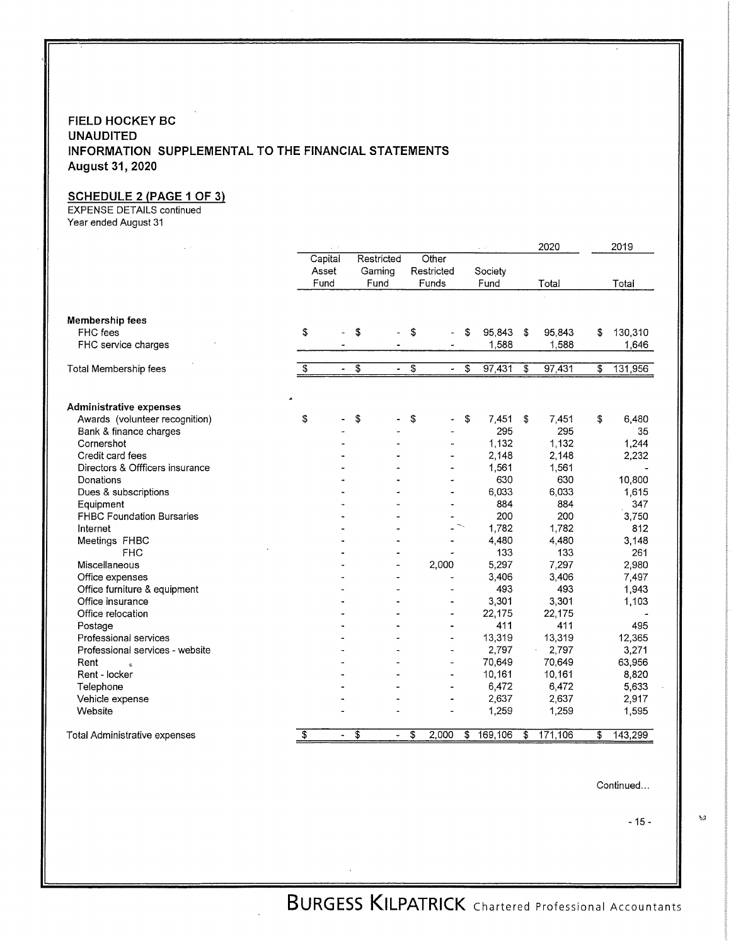# **SCHEDULE 2 {PAGE 1 OF 3}**

EXPENSE DETAilS continued Year ended August 31

| $\mathcal{L} \rightarrow \mathcal{L}$ |                 |                       |    |                |                          |               |       | 2020    | 2019          |  |
|---------------------------------------|-----------------|-----------------------|----|----------------|--------------------------|---------------|-------|---------|---------------|--|
|                                       |                 | Capital               |    | Restricted     | Other                    |               |       |         |               |  |
|                                       | Asset           |                       |    | Gaming         | Restricted               | Society       |       |         |               |  |
|                                       |                 | Fund                  |    |                | Funds                    | Fund          | Total |         | Total         |  |
|                                       |                 |                       |    |                |                          |               |       |         |               |  |
| <b>Membership fees</b>                |                 |                       |    |                |                          |               |       |         |               |  |
| FHC fees                              | \$              | ÷,                    | \$ |                | \$                       | \$<br>95,843  | \$    | 95,843  | \$<br>130,310 |  |
| FHC service charges                   |                 | $\blacksquare$        |    |                |                          | 1,588         |       | 1,588   | 1,646         |  |
| Total Membership fees                 | \$              | $\blacksquare$        | \$ | $\blacksquare$ | \$<br>$\omega$           | \$<br>97,431  | \$    | 97,431  | \$<br>131,956 |  |
|                                       |                 |                       |    |                |                          |               |       |         |               |  |
| <b>Administrative expenses</b>        |                 |                       |    |                |                          |               |       |         |               |  |
| Awards (volunteer recognition)        | \$              |                       | \$ |                | \$                       | \$<br>7,451   | \$    | 7,451   | \$<br>6,480   |  |
| Bank & finance charges                |                 |                       |    |                |                          | 295           |       | 295     | 35            |  |
| Cornershot                            |                 |                       |    |                |                          | 1,132         |       | 1,132   | 1,244         |  |
| Credit card fees                      |                 |                       |    |                |                          | 2,148         |       | 2,148   | 2,232         |  |
| Directors & Offficers insurance       |                 |                       |    |                |                          | 1,561         |       | 1,561   |               |  |
| Donations                             |                 |                       |    |                |                          | 630           |       | 630     | 10,800        |  |
| Dues & subscriptions                  |                 |                       |    |                |                          | 6,033         |       | 6,033   | 1,615         |  |
| Equipment                             |                 |                       |    |                |                          | 884           |       | 884     | 347           |  |
| <b>FHBC Foundation Bursaries</b>      |                 |                       |    |                |                          | 200           |       | 200     | 3,750         |  |
| Internet                              |                 |                       |    |                |                          | 1,782         |       | 1,782   | 812           |  |
| Meetings FHBC                         |                 |                       |    |                |                          | 4,480         |       | 4,480   | 3,148         |  |
| <b>FHC</b>                            |                 |                       |    |                |                          | 133           |       | 133     | 261           |  |
| Miscellaneous                         |                 |                       |    | $\overline{a}$ | 2,000                    | 5,297         |       | 7,297   | 2,980         |  |
| Office expenses                       |                 |                       |    |                |                          | 3,406         |       | 3,406   | 7,497         |  |
| Office furniture & equipment          |                 |                       |    |                |                          | 493           |       | 493     | 1,943         |  |
| Office insurance                      |                 |                       |    |                |                          | 3,301         |       | 3,301   | 1,103         |  |
| Office relocation                     |                 |                       |    |                | $\overline{\phantom{a}}$ | 22,175        |       | 22,175  |               |  |
| Postage                               |                 |                       |    |                | $\blacksquare$           | 411           |       | 411     | 495           |  |
| Professional services                 |                 |                       |    |                |                          | 13,319        |       | 13,319  | 12,365        |  |
| Professional services - website       |                 |                       |    |                |                          | 2,797         |       | 2,797   | 3,271         |  |
| Rent<br>$\ddot{\mathbf{v}}$           |                 |                       |    |                |                          | 70,649        |       | 70,649  | 63,956        |  |
| Rent - locker                         |                 |                       |    |                | $\ddot{ }$               | 10,161        |       | 10,161  | 8,820         |  |
| Telephone                             |                 |                       |    |                |                          | 6,472         |       | 6,472   | 5,633         |  |
| Vehicle expense                       |                 |                       |    |                | $\blacksquare$           | 2,637         |       | 2,637   | 2,917         |  |
| Website                               |                 |                       |    |                |                          | 1,259         |       | 1,259   | 1,595         |  |
| <b>Total Administrative expenses</b>  | $\overline{\$}$ | $\tilde{\phantom{a}}$ | \$ | $\blacksquare$ | \$<br>2,000              | \$<br>169,106 | \$    | 171,106 | \$<br>143,299 |  |

Continued...

- 15 -

 $59$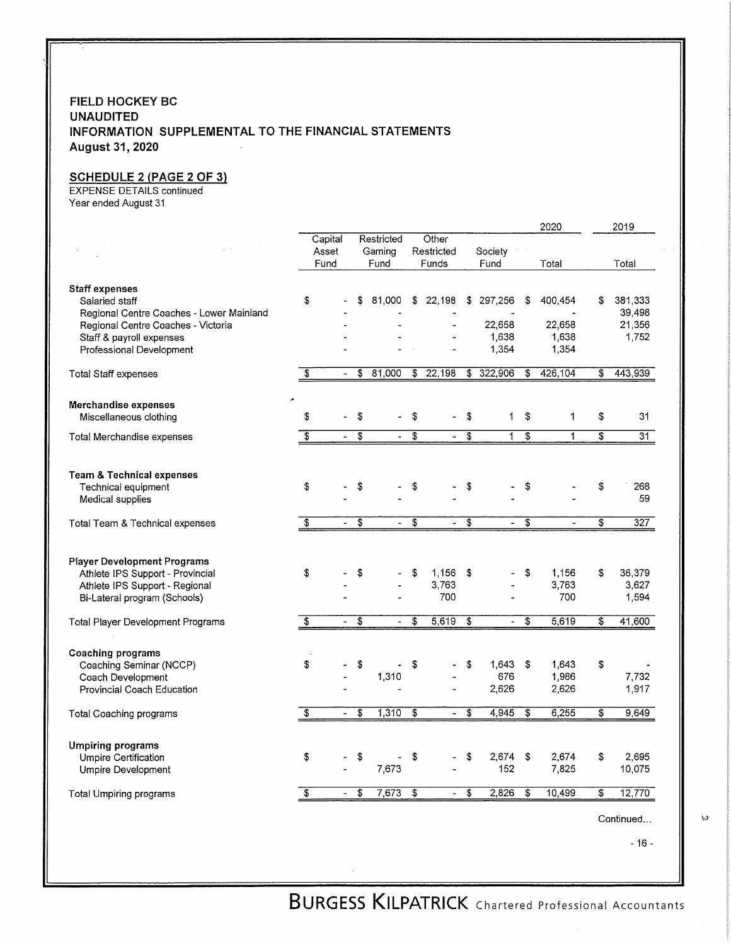# **SCHEDULE 2 {PAGE 2 OF 3}**

EXPENSE DETAILS continued Year ended August 31

|                                                     |                         |                          |                         |                          |    |                       |               |                |     | 2020         |                 | 2019      |
|-----------------------------------------------------|-------------------------|--------------------------|-------------------------|--------------------------|----|-----------------------|---------------|----------------|-----|--------------|-----------------|-----------|
|                                                     |                         | Capital                  |                         | Restricted               |    | Other                 |               |                |     |              |                 |           |
|                                                     |                         | Asset                    |                         | Gaming                   |    | Restricted            |               | Society        |     |              |                 |           |
|                                                     |                         | Fund                     |                         | Fund                     |    | Funds                 |               | Fund           |     | Total        |                 | Total     |
|                                                     |                         |                          |                         |                          |    |                       |               |                |     |              |                 |           |
| <b>Staff expenses</b>                               |                         |                          |                         |                          |    |                       |               |                |     |              |                 |           |
| Salaried staff                                      | \$                      |                          | \$                      | 81,000                   | \$ | 22,198                | \$            | 297,256        | \$  | 400,454      |                 | 381,333   |
| Regional Centre Coaches - Lower Mainland            |                         |                          |                         |                          |    |                       |               |                |     |              |                 | 39,498    |
| Regional Centre Coaches - Victoria                  |                         |                          |                         |                          |    |                       |               | 22,658         |     | 22,658       |                 | 21,356    |
| Staff & payroll expenses                            |                         |                          |                         |                          |    |                       |               | 1,638          |     | 1,638        |                 | 1,752     |
| Professional Development                            |                         |                          |                         |                          |    |                       |               | 1,354          |     | 1,354        |                 |           |
| <b>Total Staff expenses</b>                         | \$                      | $\overline{\phantom{a}}$ | \$                      | 81,000                   | \$ | 22,198                | \$            | 322,906        | \$  | 426,104      | \$              | 443,939   |
|                                                     |                         |                          |                         |                          |    |                       |               |                |     |              |                 |           |
| Merchandise expenses                                |                         |                          |                         |                          |    |                       |               |                |     |              |                 |           |
| Miscellaneous clothing                              | \$                      |                          | \$                      |                          | \$ |                       | \$            | 1              | \$  | $\mathbf{1}$ | \$              | 31        |
| Total Merchandise expenses                          | \$                      | $\omega_{\rm c}$         | \$                      | $\omega$ .               | \$ | $\rightarrow$         | \$            | $\mathbf{1}$   | \$  | $\mathbf{1}$ | \$              | 31        |
|                                                     |                         |                          |                         |                          |    |                       |               |                |     |              |                 |           |
| <b>Team &amp; Technical expenses</b>                |                         |                          |                         |                          |    |                       |               |                |     |              |                 |           |
| Technical equipment                                 | \$                      |                          | \$                      |                          | \$ |                       | \$            |                | \$  |              | \$              | 268       |
| Medical supplies                                    |                         |                          |                         |                          |    |                       |               |                |     |              |                 | 59        |
|                                                     |                         |                          |                         |                          |    |                       |               |                |     |              |                 |           |
| Total Team & Technical expenses                     | $\overline{\mathbf{f}}$ | $\blacksquare$           | $\overline{\mathbb{S}}$ | $\overline{\phantom{a}}$ | \$ | $\tilde{\phantom{a}}$ | $\sqrt[6]{3}$ | $\blacksquare$ | \$  |              | $\overline{\$}$ | 327       |
|                                                     |                         |                          |                         |                          |    |                       |               |                |     |              |                 |           |
| <b>Player Development Programs</b>                  |                         |                          |                         |                          |    |                       |               |                |     |              |                 |           |
| Athlete IPS Support - Provincial                    | \$                      |                          | \$                      |                          | S  | 1,156 \$              |               |                | \$  | 1,156        | \$              | 36,379    |
| Athlete IPS Support - Regional                      |                         |                          |                         |                          |    | 3,763                 |               |                |     | 3,763        |                 | 3,627     |
| Bi-Lateral program (Schools)                        |                         |                          |                         |                          |    | 700                   |               |                |     | 700          |                 | 1,594     |
|                                                     |                         |                          |                         |                          |    |                       |               |                |     |              |                 |           |
| <b>Total Player Development Programs</b>            | \$                      | $\overline{\phantom{a}}$ | \$                      | $\blacksquare$           | \$ | 5,619                 | \$            | $\frac{1}{2}$  | \$  | 5,619        | \$              | 41,600    |
|                                                     |                         |                          |                         |                          |    |                       |               |                |     |              |                 |           |
| <b>Coaching programs</b><br>Coaching Seminar (NCCP) | \$                      |                          | \$                      |                          | \$ |                       | \$            | 1,643          | -\$ | 1,643        | \$              |           |
|                                                     |                         |                          |                         |                          |    |                       |               | 676            |     |              |                 |           |
| Coach Development                                   |                         |                          |                         | 1,310                    |    |                       |               |                |     | 1,986        |                 | 7,732     |
| Provincial Coach Education                          |                         |                          |                         |                          |    |                       |               | 2,626          |     | 2,626        |                 | 1,917     |
| <b>Total Coaching programs</b>                      | \$                      | $\blacksquare$           | \$                      | 1,310                    | \$ | $\blacksquare$        | \$            | 4,945          | \$  | 6,255        | \$              | 9,649     |
|                                                     |                         |                          |                         |                          |    |                       |               |                |     |              |                 |           |
| <b>Umpiring programs</b>                            |                         |                          |                         |                          |    |                       |               |                |     |              |                 |           |
| <b>Umpire Certification</b>                         | \$                      |                          | \$                      |                          | \$ |                       | \$            | 2,674          | \$  | 2,674        | \$              | 2,695     |
| Umpire Development                                  |                         |                          |                         | 7,673                    |    |                       |               | 152            |     | 7,825        |                 | 10,075    |
| <b>Total Umpiring programs</b>                      | \$                      | $\bullet$                | \$                      | 7,673                    | \$ | $\blacksquare$        | \$            | 2,826          | \$  | 10,499       | \$              | 12,770    |
|                                                     |                         |                          |                         |                          |    |                       |               |                |     |              |                 | Continued |
|                                                     |                         |                          |                         |                          |    |                       |               |                |     |              |                 |           |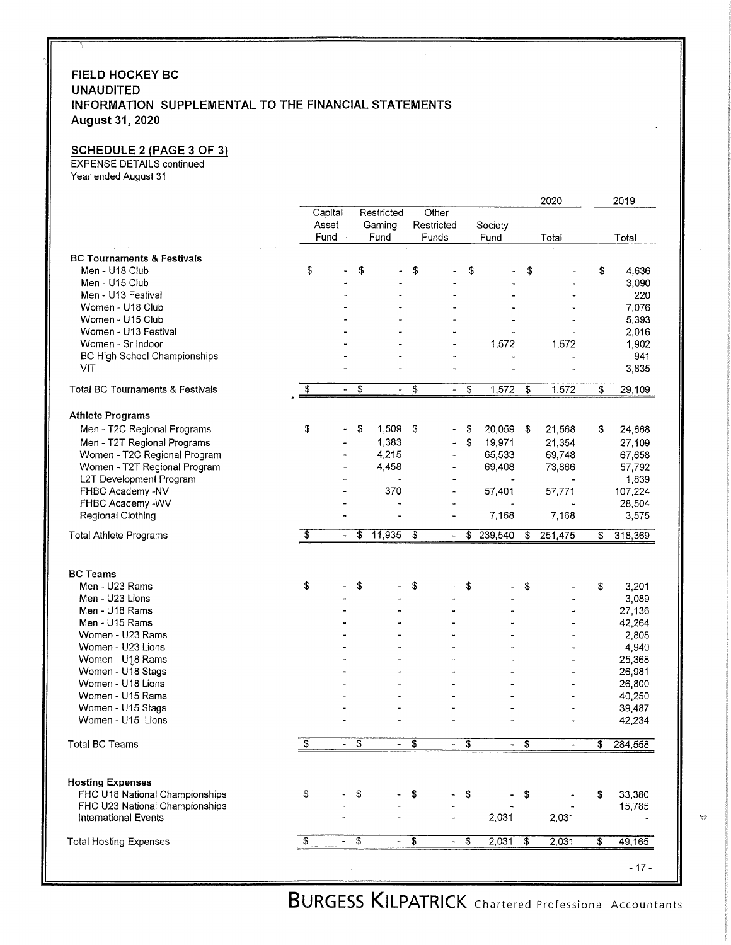# **SCHEDULE 2 {PAGE 3 OF 3}**

EXPENSE DETAILS continued Year ended August 31

| Capital<br>Asset<br>\$<br>\$ | Fund -                         | \$<br>Restricted<br>Gaming<br>Fund | Restricted<br>Funds<br>\$                | Other                    | \$                       | Society<br>Fund | \$                                                          | Total  | \$                                                       | Total<br>4,636<br>3,090<br>220<br>7,076 |
|------------------------------|--------------------------------|------------------------------------|------------------------------------------|--------------------------|--------------------------|-----------------|-------------------------------------------------------------|--------|----------------------------------------------------------|-----------------------------------------|
|                              |                                |                                    |                                          |                          |                          |                 |                                                             |        |                                                          |                                         |
|                              |                                |                                    |                                          |                          |                          |                 |                                                             |        |                                                          |                                         |
|                              |                                |                                    |                                          |                          |                          |                 |                                                             |        |                                                          |                                         |
|                              |                                |                                    |                                          |                          |                          |                 |                                                             |        |                                                          |                                         |
|                              |                                |                                    |                                          |                          |                          |                 |                                                             |        |                                                          |                                         |
|                              |                                |                                    |                                          |                          |                          |                 |                                                             |        |                                                          |                                         |
|                              |                                |                                    |                                          |                          |                          |                 |                                                             |        |                                                          |                                         |
|                              |                                |                                    |                                          |                          |                          |                 |                                                             |        |                                                          |                                         |
|                              |                                |                                    |                                          |                          |                          |                 |                                                             |        |                                                          |                                         |
|                              |                                |                                    |                                          |                          |                          |                 |                                                             |        |                                                          | 5,393                                   |
|                              |                                |                                    |                                          |                          |                          |                 |                                                             |        |                                                          | 2,016                                   |
|                              |                                |                                    |                                          |                          |                          | 1,572           |                                                             | 1,572  |                                                          | 1,902                                   |
|                              |                                |                                    |                                          |                          |                          |                 |                                                             |        |                                                          | 941                                     |
|                              |                                |                                    |                                          |                          |                          |                 |                                                             |        |                                                          | 3,835                                   |
|                              |                                |                                    |                                          |                          |                          |                 |                                                             |        |                                                          |                                         |
|                              | $\frac{1}{2}$                  | \$<br>$\sim$                       | \$                                       | $\blacksquare$           | \$                       | 1,572           | \$                                                          | 1,572  | \$                                                       | 29,109                                  |
|                              |                                |                                    |                                          |                          |                          |                 |                                                             |        |                                                          |                                         |
| \$                           |                                | \$<br>1,509                        | - \$                                     | $\blacksquare$           | \$                       | 20,059 \$       |                                                             | 21,568 | \$                                                       | 24,668                                  |
|                              |                                |                                    |                                          |                          |                          |                 |                                                             |        |                                                          | 27,109                                  |
|                              |                                |                                    |                                          |                          |                          |                 |                                                             |        |                                                          |                                         |
|                              |                                |                                    |                                          |                          |                          |                 |                                                             |        |                                                          | 67,658                                  |
|                              |                                |                                    |                                          |                          |                          |                 |                                                             |        |                                                          | 57,792                                  |
|                              |                                |                                    |                                          |                          |                          |                 |                                                             |        |                                                          | 1,839                                   |
|                              |                                |                                    |                                          |                          |                          |                 |                                                             |        |                                                          | 107,224                                 |
|                              |                                |                                    |                                          |                          |                          |                 |                                                             |        |                                                          | 28,504                                  |
|                              |                                |                                    |                                          |                          |                          |                 |                                                             |        |                                                          | 3,575                                   |
|                              | $\sim$                         | \$                                 | -\$                                      | $\overline{\phantom{a}}$ |                          |                 | -5                                                          |        |                                                          | 318,369                                 |
|                              |                                |                                    |                                          |                          |                          |                 |                                                             |        |                                                          |                                         |
|                              |                                |                                    |                                          |                          |                          |                 |                                                             |        |                                                          |                                         |
|                              |                                |                                    |                                          |                          |                          |                 |                                                             |        |                                                          | 3,201                                   |
|                              |                                |                                    |                                          |                          |                          |                 |                                                             |        |                                                          | 3,089                                   |
|                              |                                |                                    |                                          |                          |                          |                 |                                                             |        |                                                          | 27,136                                  |
|                              |                                |                                    |                                          |                          |                          |                 |                                                             |        |                                                          | 42,264                                  |
|                              |                                |                                    |                                          |                          |                          |                 |                                                             |        |                                                          | 2,808                                   |
|                              |                                |                                    |                                          |                          |                          |                 |                                                             |        |                                                          | 4,940                                   |
|                              |                                |                                    |                                          |                          |                          |                 |                                                             |        |                                                          | 25,368                                  |
|                              |                                |                                    |                                          |                          |                          |                 |                                                             |        |                                                          | 26,981                                  |
|                              |                                |                                    |                                          |                          |                          |                 |                                                             |        |                                                          |                                         |
|                              |                                |                                    |                                          |                          |                          |                 |                                                             |        |                                                          | 26,800                                  |
|                              |                                |                                    |                                          |                          |                          |                 |                                                             |        |                                                          | 40,250                                  |
|                              |                                |                                    |                                          |                          |                          |                 |                                                             |        |                                                          | 39,487                                  |
|                              |                                |                                    |                                          |                          |                          |                 |                                                             |        |                                                          | 42,234                                  |
|                              |                                |                                    |                                          |                          |                          |                 |                                                             |        |                                                          |                                         |
|                              | $\overline{\mathcal{F}}$<br>\$ | \$                                 | 1,383<br>4,215<br>4,458<br>370<br>11,935 | \$                       | $\overline{\phantom{a}}$ | \$<br>\$        | 19,971<br>65,533<br>69,408<br>57,401<br>7,168<br>\$ 239,540 | \$     | 21,354<br>69,748<br>73,866<br>57,771<br>7,168<br>251,475 | \$<br>\$                                |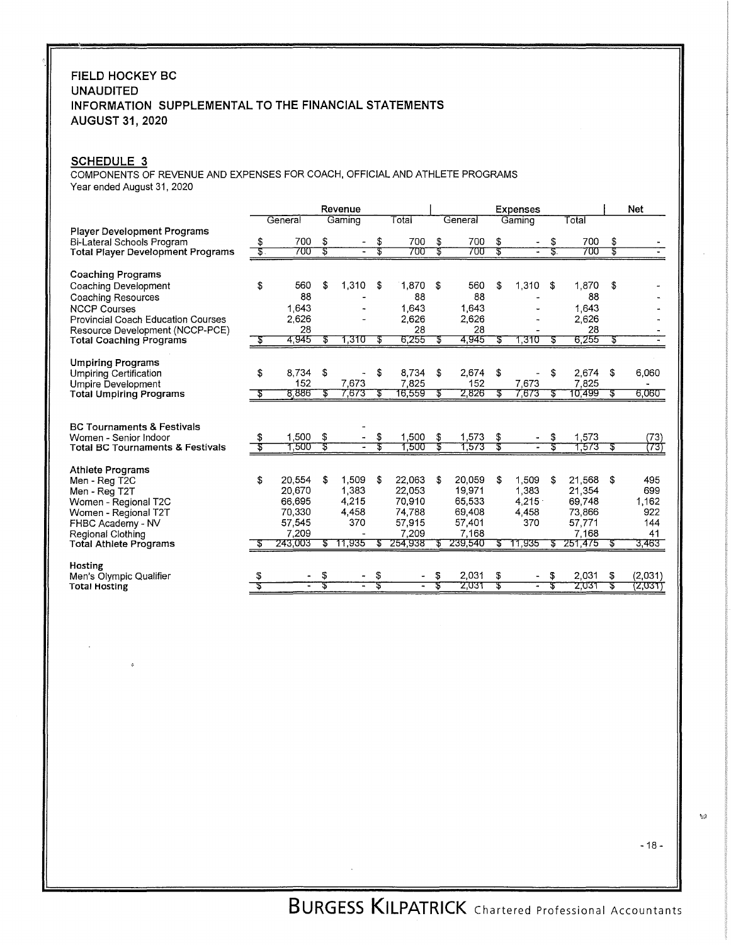### **SCHEDULE** 3

COMPONENTS OF REVENUE AND EXPENSES FOR COACH, OFFICIAL AND ATHLETE PROGRAMS Year ended August 31, 2020

|                                                                   | Revenue |         |    |        |    |         | <b>Expenses</b> |         |    |           |         |         |     | <b>Net</b>   |  |
|-------------------------------------------------------------------|---------|---------|----|--------|----|---------|-----------------|---------|----|-----------|---------|---------|-----|--------------|--|
|                                                                   |         | General |    | Gaming |    | Total   |                 | General |    | Gaming    |         | Total   |     |              |  |
| <b>Player Development Programs</b>                                |         |         |    |        |    |         |                 |         |    |           |         |         |     |              |  |
| Bi-Lateral Schools Program                                        | \$      | 700     | \$ |        | \$ | 700     | \$              | 700     | \$ |           | \$      | 700     | \$  |              |  |
| <b>Total Player Development Programs</b>                          | \$.     | 700     | F  |        | S  | 700     | 35              | 700     | Ŧ  |           |         | 700     | 3   |              |  |
| <b>Coaching Programs</b>                                          |         |         |    |        |    |         |                 |         |    |           |         |         |     |              |  |
| <b>Coaching Development</b>                                       | \$      | 560     | \$ | 1,310  | \$ | 1,870   | \$              | 560     | \$ | 1,310     | \$      | 1.870   | \$  |              |  |
|                                                                   |         | 88      |    |        |    | 88      |                 | 88      |    |           |         | 88      |     |              |  |
| <b>Coaching Resources</b>                                         |         | 1,643   |    |        |    | 1.643   |                 | 1,643   |    |           |         | 1.643   |     |              |  |
| <b>NCCP Courses</b><br><b>Provincial Coach Education Courses</b>  |         | 2.626   |    |        |    | 2.626   |                 | 2,626   |    |           |         | 2.626   |     |              |  |
|                                                                   |         | 28      |    |        |    | 28      |                 | 28      |    |           |         | 28      |     |              |  |
| Resource Development (NCCP-PCE)<br><b>Total Coaching Programs</b> | ъ       | 4,945   | £. | 1.310  | ä, | 6,255   | S               | 4,945   | S. | 1,310     | S.      | 6,255   | S.  |              |  |
|                                                                   |         |         |    |        |    |         |                 |         |    |           |         |         |     |              |  |
| <b>Umpiring Programs</b>                                          |         |         |    |        |    |         |                 |         |    |           |         |         |     |              |  |
| <b>Umpiring Certification</b>                                     | \$      | 8.734   | \$ |        | \$ | 8,734   | \$              | 2,674   | \$ |           | \$      | 2.674   | \$  | 6.060        |  |
| Umpire Development                                                |         | 152     |    | 7.673  |    | 7,825   |                 | 152     |    | 7,673     |         | 7,825   |     |              |  |
| <b>Total Umpiring Programs</b>                                    | Ъ       | 8.886   | T  | 7.673  | S  | 16,559  | 35              | 2,826   | S  | 7.673     | T       | 10,499  | -35 | 6,060        |  |
|                                                                   |         |         |    |        |    |         |                 |         |    |           |         |         |     |              |  |
|                                                                   |         |         |    |        |    |         |                 |         |    |           |         |         |     |              |  |
| <b>BC Tournaments &amp; Festivals</b><br>Women - Senior Indoor    |         | 1,500   | \$ |        | \$ | 1.500   | \$              | 1.573   | \$ |           |         | 1,573   |     |              |  |
| <b>Total BC Tournaments &amp; Festivals</b>                       | \$      | 1.500   | т  |        |    | 1.500   |                 | 1,573   | Ŧ  |           | \$<br>Т | 1,573   | -56 | (73)<br>(73) |  |
|                                                                   |         |         |    |        |    |         |                 |         |    |           |         |         |     |              |  |
| <b>Athlete Programs</b>                                           |         |         |    |        |    |         |                 |         |    |           |         |         |     |              |  |
| Men - Reg T2C                                                     | \$      | 20.554  | \$ | 1,509  | \$ | 22,063  | \$              | 20.059  | \$ | 1,509     | \$      | 21,568  | \$  | 495          |  |
| Men - Reg T2T                                                     |         | 20,670  |    | 1,383  |    | 22,053  |                 | 19,971  |    | 1,383     |         | 21,354  |     | 699          |  |
| Women - Regional T2C                                              |         | 66,695  |    | 4,215  |    | 70,910  |                 | 65,533  |    | $4.215 -$ |         | 69,748  |     | 1.162        |  |
| Women - Regional T2T                                              |         | 70,330  |    | 4,458  |    | 74,788  |                 | 69,408  |    | 4,458     |         | 73,866  |     | 922          |  |
| FHBC Academy - NV                                                 |         | 57,545  |    | 370    |    | 57,915  |                 | 57,401  |    | 370       |         | 57,771  |     | 144          |  |
| Regional Clothing                                                 |         | 7.209   |    |        |    | 7,209   |                 | 7.168   |    |           |         | 7.168   |     | 41           |  |
| <b>Total Athlete Programs</b>                                     |         | 243,003 |    | 11,935 |    | 254,938 |                 | 239,540 |    | 11,935    |         | 251,475 |     | 3,463        |  |
|                                                                   |         |         |    |        |    |         |                 |         |    |           |         |         |     |              |  |
| Hosting<br>Men's Olympic Qualifier                                | \$      |         | \$ |        | S  |         | \$              | 2,031   | \$ |           | \$      | 2.031   | S   | (2,031)      |  |
| <b>Total Hosting</b>                                              | ᢌ       |         | 2  |        | Ŧ  |         | Ŧ               | 2.031   | 25 |           | τ       | 2,031   | Ŧ   | (2,031)      |  |
|                                                                   |         |         |    |        |    |         |                 |         |    |           |         |         |     |              |  |

- 18-

 $\forall 2$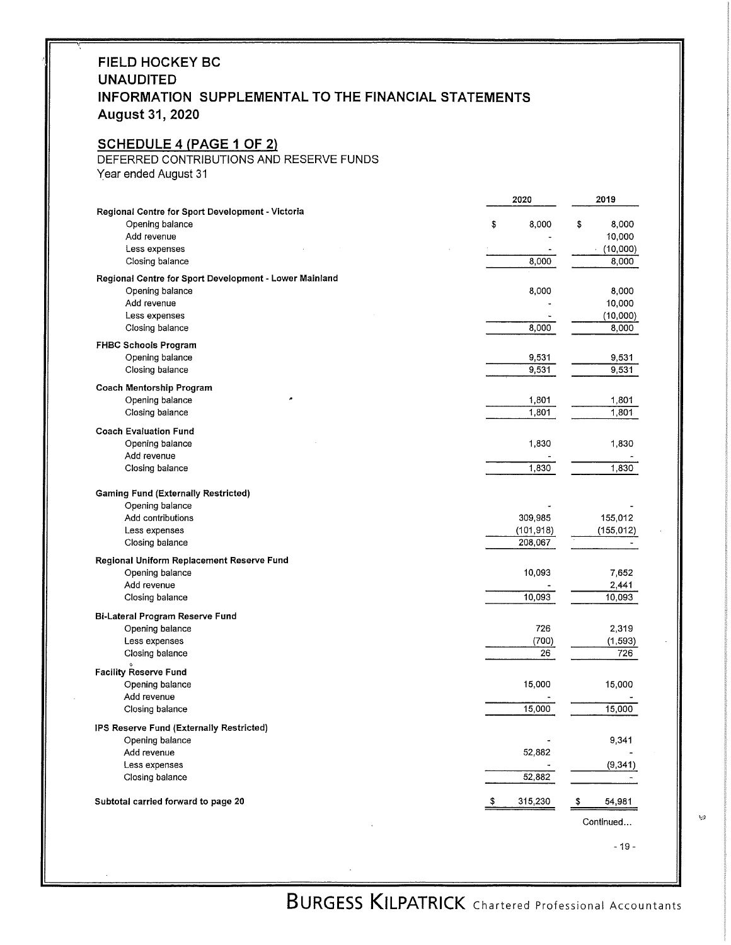# **SCHEDULE 4 {PAGE 1 OF 2}**

DEFERRED CONTRIBUTIONS AND RESERVE FUNDS

Year ended August 31

| Regional Centre for Sport Development - Victoria<br>Opening balance<br>\$<br>\$<br>8,000<br>8,000<br>Add revenue<br>10,000<br>(10,000)<br>Less expenses<br>¥,<br>8,000<br>Closing balance<br>8,000<br>Regional Centre for Sport Development - Lower Mainland<br>8,000<br>Opening balance<br>8,000<br>Add revenue<br>10,000<br>Less expenses<br>(10,000)<br>8,000<br>Closing balance<br>8,000<br><b>FHBC Schools Program</b><br>Opening balance<br>9,531<br>9,531<br>9,531<br>9,531<br>Closing balance |
|-------------------------------------------------------------------------------------------------------------------------------------------------------------------------------------------------------------------------------------------------------------------------------------------------------------------------------------------------------------------------------------------------------------------------------------------------------------------------------------------------------|
|                                                                                                                                                                                                                                                                                                                                                                                                                                                                                                       |
|                                                                                                                                                                                                                                                                                                                                                                                                                                                                                                       |
|                                                                                                                                                                                                                                                                                                                                                                                                                                                                                                       |
|                                                                                                                                                                                                                                                                                                                                                                                                                                                                                                       |
|                                                                                                                                                                                                                                                                                                                                                                                                                                                                                                       |
|                                                                                                                                                                                                                                                                                                                                                                                                                                                                                                       |
|                                                                                                                                                                                                                                                                                                                                                                                                                                                                                                       |
|                                                                                                                                                                                                                                                                                                                                                                                                                                                                                                       |
|                                                                                                                                                                                                                                                                                                                                                                                                                                                                                                       |
|                                                                                                                                                                                                                                                                                                                                                                                                                                                                                                       |
|                                                                                                                                                                                                                                                                                                                                                                                                                                                                                                       |
|                                                                                                                                                                                                                                                                                                                                                                                                                                                                                                       |
| Coach Mentorship Program                                                                                                                                                                                                                                                                                                                                                                                                                                                                              |
| 1,801<br>Opening balance<br>1,801                                                                                                                                                                                                                                                                                                                                                                                                                                                                     |
| 1,801<br>1,801<br>Closing balance                                                                                                                                                                                                                                                                                                                                                                                                                                                                     |
| <b>Coach Evaluation Fund</b>                                                                                                                                                                                                                                                                                                                                                                                                                                                                          |
| 1,830<br>1,830<br>Opening balance                                                                                                                                                                                                                                                                                                                                                                                                                                                                     |
| Add revenue                                                                                                                                                                                                                                                                                                                                                                                                                                                                                           |
| 1,830<br>1,830<br>Closing balance                                                                                                                                                                                                                                                                                                                                                                                                                                                                     |
|                                                                                                                                                                                                                                                                                                                                                                                                                                                                                                       |
| <b>Gaming Fund (Externally Restricted)</b>                                                                                                                                                                                                                                                                                                                                                                                                                                                            |
| Opening balance                                                                                                                                                                                                                                                                                                                                                                                                                                                                                       |
| 309,985<br>155,012<br>Add contributions                                                                                                                                                                                                                                                                                                                                                                                                                                                               |
| (101, 918)<br>(155, 012)<br>Less expenses                                                                                                                                                                                                                                                                                                                                                                                                                                                             |
| 208,067<br>Closing balance                                                                                                                                                                                                                                                                                                                                                                                                                                                                            |
| Regional Uniform Replacement Reserve Fund                                                                                                                                                                                                                                                                                                                                                                                                                                                             |
| 10,093<br>Opening balance<br>7,652                                                                                                                                                                                                                                                                                                                                                                                                                                                                    |
| Add revenue<br>2,441                                                                                                                                                                                                                                                                                                                                                                                                                                                                                  |
| 10,093<br>10,093<br>Closing balance                                                                                                                                                                                                                                                                                                                                                                                                                                                                   |
| Bi-Lateral Program Reserve Fund                                                                                                                                                                                                                                                                                                                                                                                                                                                                       |
| 726<br>2,319<br>Opening balance                                                                                                                                                                                                                                                                                                                                                                                                                                                                       |
| (700)<br>Less expenses<br>(1, 593)                                                                                                                                                                                                                                                                                                                                                                                                                                                                    |
| Closing balance<br>26<br>726                                                                                                                                                                                                                                                                                                                                                                                                                                                                          |
| <b>Facility Reserve Fund</b>                                                                                                                                                                                                                                                                                                                                                                                                                                                                          |
| 15,000<br>15,000<br>Opening balance                                                                                                                                                                                                                                                                                                                                                                                                                                                                   |
| Add revenue                                                                                                                                                                                                                                                                                                                                                                                                                                                                                           |
| 15,000<br>15,000<br>Closing balance                                                                                                                                                                                                                                                                                                                                                                                                                                                                   |
| IPS Reserve Fund (Externally Restricted)                                                                                                                                                                                                                                                                                                                                                                                                                                                              |
| 9,341<br>Opening balance<br>$\tilde{\phantom{a}}$                                                                                                                                                                                                                                                                                                                                                                                                                                                     |
| 52,882<br>Add revenue                                                                                                                                                                                                                                                                                                                                                                                                                                                                                 |
| (9, 341)<br>Less expenses                                                                                                                                                                                                                                                                                                                                                                                                                                                                             |
| Closing balance<br>52,882                                                                                                                                                                                                                                                                                                                                                                                                                                                                             |
|                                                                                                                                                                                                                                                                                                                                                                                                                                                                                                       |
| Subtotal carried forward to page 20<br>315,230<br>54,981<br>Ş.                                                                                                                                                                                                                                                                                                                                                                                                                                        |
| Continued                                                                                                                                                                                                                                                                                                                                                                                                                                                                                             |
| $-19-$                                                                                                                                                                                                                                                                                                                                                                                                                                                                                                |